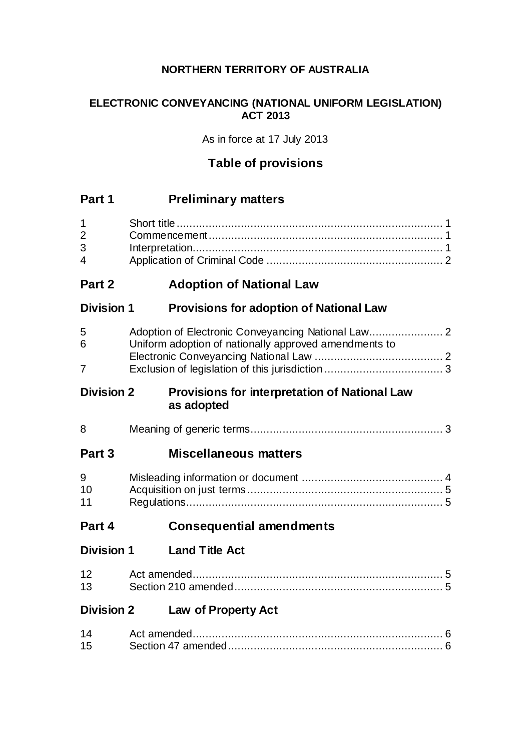# **NORTHERN TERRITORY OF AUSTRALIA**

# **ELECTRONIC CONVEYANCING (NATIONAL UNIFORM LEGISLATION) ACT 2013**

As in force at 17 July 2013

# **Table of provisions**

# **Part 1 Preliminary matters**

| 1<br>$\overline{2}$<br>3<br>4 |                                                             |
|-------------------------------|-------------------------------------------------------------|
| Part 2                        | <b>Adoption of National Law</b>                             |
| Division 1                    | <b>Provisions for adoption of National Law</b>              |
| 5<br>6<br>7                   | Uniform adoption of nationally approved amendments to       |
| <b>Division 2</b>             | Provisions for interpretation of National Law<br>as adopted |
| 8                             |                                                             |
| Part 3                        | <b>Miscellaneous matters</b>                                |
| 9<br>10<br>11                 |                                                             |
| Part 4                        | <b>Consequential amendments</b>                             |
| Division 1                    | <b>Land Title Act</b>                                       |
| 12<br>13                      |                                                             |
| <b>Division 2</b>             | <b>Law of Property Act</b>                                  |

| 14 |  |
|----|--|
| 15 |  |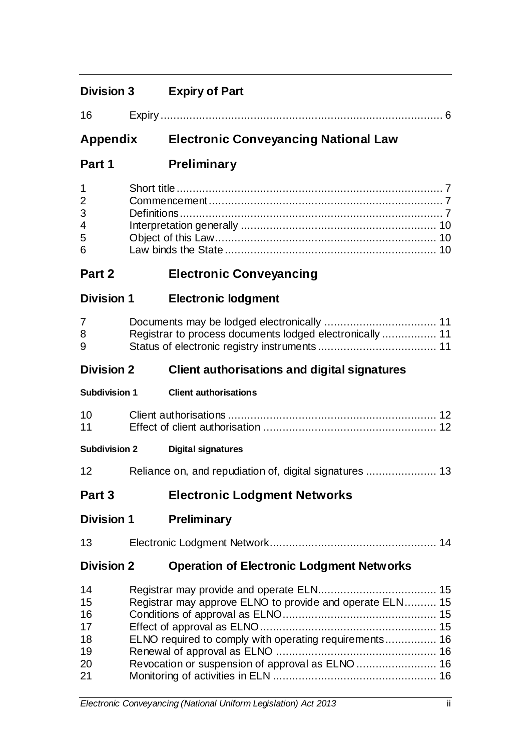| и. |  |
|----|--|
|    |  |

# **Appendix Electronic Conveyancing National Law**

**Part 1 Preliminary**

| $1 \quad \Box$  |  |
|-----------------|--|
| $\overline{2}$  |  |
| 3 <sup>1</sup>  |  |
| $4\overline{ }$ |  |
| $5^{\circ}$     |  |
| $6 \quad$       |  |

# **Part 2 Electronic Conveyancing**

**Division 1 Electronic lodgment**

| 8 |  |
|---|--|
| 9 |  |

# **Division 2 Client authorisations and digital signatures**

| <b>Subdivision 1</b> | <b>Client authorisations</b> |
|----------------------|------------------------------|
|                      |                              |

| 10 |  |
|----|--|
|    |  |

**Subdivision 2 Digital signatures**

| 12 |  |  |  |  |  |
|----|--|--|--|--|--|
|----|--|--|--|--|--|

# **Part 3 Electronic Lodgment Networks**

**Division 1 Preliminary**

| 13 |  |  |
|----|--|--|
|----|--|--|

# **Division 2 Operation of Electronic Lodgment Networks**

| 14 |                                                          |  |
|----|----------------------------------------------------------|--|
| 15 | Registrar may approve ELNO to provide and operate ELN 15 |  |
| 16 |                                                          |  |
| 17 |                                                          |  |
| 18 | ELNO required to comply with operating requirements 16   |  |
| 19 |                                                          |  |
| 20 |                                                          |  |
| 21 |                                                          |  |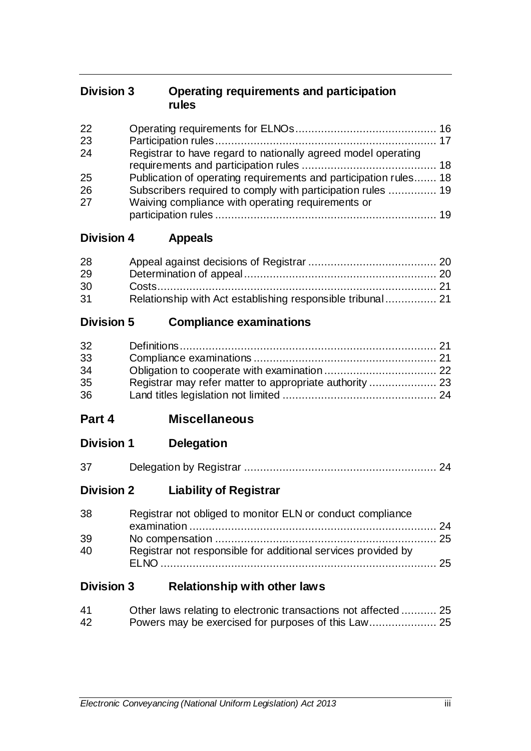# **Division 3 Operating requirements and participation rules**

| 22 |                                                                  |  |
|----|------------------------------------------------------------------|--|
| 23 |                                                                  |  |
| 24 | Registrar to have regard to nationally agreed model operating    |  |
|    |                                                                  |  |
| 25 | Publication of operating requirements and participation rules 18 |  |
| 26 | Subscribers required to comply with participation rules  19      |  |
| 27 | Waiving compliance with operating requirements or                |  |
|    |                                                                  |  |

# **Division 4 Appeals**

| 28 |                                                            |  |
|----|------------------------------------------------------------|--|
| 29 |                                                            |  |
| 30 |                                                            |  |
| 31 | Relationship with Act establishing responsible tribunal 21 |  |

# **Division 5 Compliance examinations**

| 32 |  |
|----|--|
| 33 |  |
| 34 |  |
| 35 |  |
| 36 |  |

- **Part 4 Miscellaneous**
- **Division 1 Delegation**

| 37 |  |  |
|----|--|--|
|    |  |  |

# **Division 2 Liability of Registrar**

| 38 | Registrar not obliged to monitor ELN or conduct compliance    |  |
|----|---------------------------------------------------------------|--|
|    |                                                               |  |
| 39 |                                                               |  |
| 40 | Registrar not responsible for additional services provided by |  |
|    |                                                               |  |
|    |                                                               |  |

# **Division 3 Relationship with other laws**

| 41 | Other laws relating to electronic transactions not affected  25 |  |
|----|-----------------------------------------------------------------|--|
| 42 |                                                                 |  |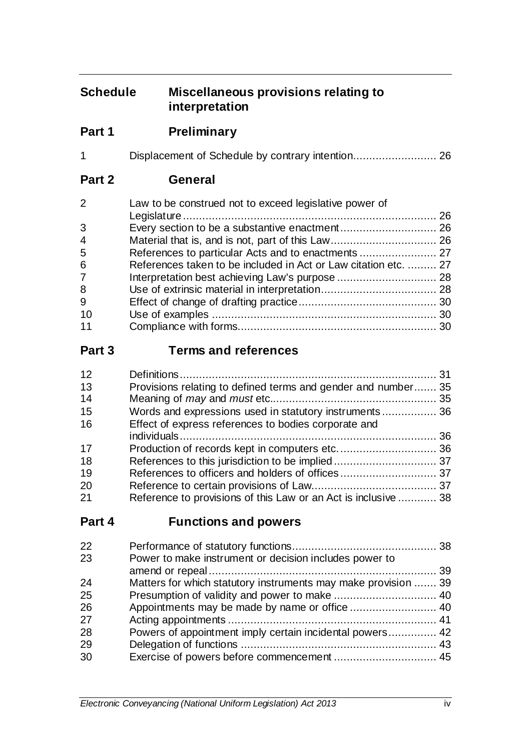# **Schedule Miscellaneous provisions relating to interpretation**

**Part 1 Preliminary**

|--|--|--|--|

**Part 2 General**

| $\overline{2}$ | Law to be construed not to exceed legislative power of          |  |
|----------------|-----------------------------------------------------------------|--|
|                |                                                                 |  |
| 3              |                                                                 |  |
| $\overline{4}$ |                                                                 |  |
| 5              |                                                                 |  |
| 6              | References taken to be included in Act or Law citation etc.  27 |  |
| $\overline{7}$ |                                                                 |  |
| 8              |                                                                 |  |
| 9              |                                                                 |  |
| 10             |                                                                 |  |
| 11             |                                                                 |  |

# **Part 3 Terms and references**

| 12 |                                                                |  |
|----|----------------------------------------------------------------|--|
| 13 | Provisions relating to defined terms and gender and number 35  |  |
| 14 |                                                                |  |
| 15 | Words and expressions used in statutory instruments 36         |  |
| 16 | Effect of express references to bodies corporate and           |  |
|    |                                                                |  |
| 17 |                                                                |  |
| 18 |                                                                |  |
| 19 |                                                                |  |
| 20 |                                                                |  |
| 21 | Reference to provisions of this Law or an Act is inclusive  38 |  |
|    |                                                                |  |

# **Part 4 Functions and powers**

| 22 |                                                                |  |
|----|----------------------------------------------------------------|--|
| 23 | Power to make instrument or decision includes power to         |  |
|    |                                                                |  |
| 24 | Matters for which statutory instruments may make provision  39 |  |
| 25 |                                                                |  |
| 26 |                                                                |  |
| 27 |                                                                |  |
| 28 | Powers of appointment imply certain incidental powers 42       |  |
| 29 |                                                                |  |
| 30 |                                                                |  |
|    |                                                                |  |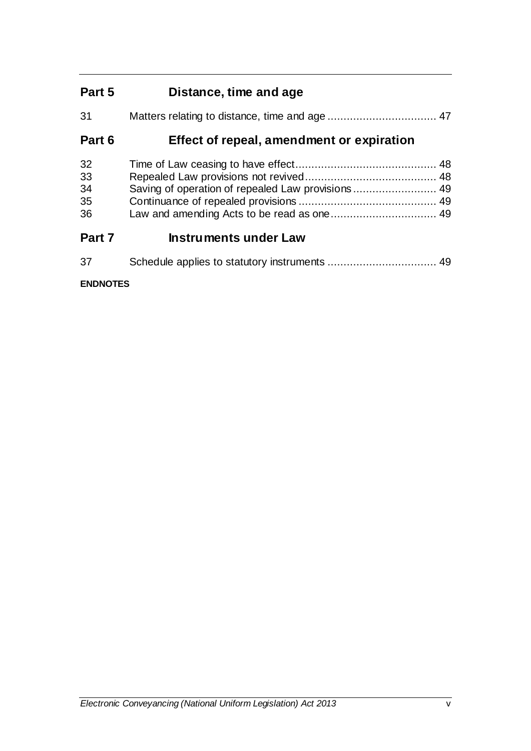# **Part 5 Distance, time and age**

| 31     |                                           |  |
|--------|-------------------------------------------|--|
| Part 6 | Effect of repeal, amendment or expiration |  |
| 32     |                                           |  |
| 33     |                                           |  |
| 34     |                                           |  |
| 35     |                                           |  |
| 36     |                                           |  |
| Part 7 | <b>Instruments under Law</b>              |  |
| -37    |                                           |  |

## **ENDNOTES**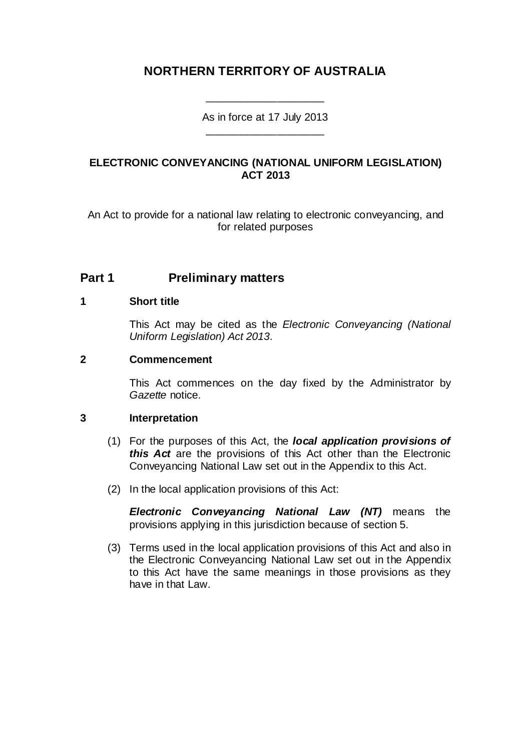# **NORTHERN TERRITORY OF AUSTRALIA**

### As in force at 17 July 2013 \_\_\_\_\_\_\_\_\_\_\_\_\_\_\_\_\_\_\_\_

\_\_\_\_\_\_\_\_\_\_\_\_\_\_\_\_\_\_\_\_

## **ELECTRONIC CONVEYANCING (NATIONAL UNIFORM LEGISLATION) ACT 2013**

An Act to provide for a national law relating to electronic conveyancing, and for related purposes

# **Part 1 Preliminary matters**

### **1 Short title**

This Act may be cited as the *Electronic Conveyancing (National Uniform Legislation) Act 2013*.

### **2 Commencement**

This Act commences on the day fixed by the Administrator by *Gazette* notice.

#### <span id="page-5-0"></span>**3 Interpretation**

- (1) For the purposes of this Act, the *local application provisions of this Act* are the provisions of this Act other than the Electronic Conveyancing National Law set out in the Appendix to this Act.
- (2) In the local application provisions of this Act:

*Electronic Conveyancing National Law (NT)* means the provisions applying in this jurisdiction because of section [5.](#page-6-0)

(3) Terms used in the local application provisions of this Act and also in the Electronic Conveyancing National Law set out in the Appendix to this Act have the same meanings in those provisions as they have in that Law.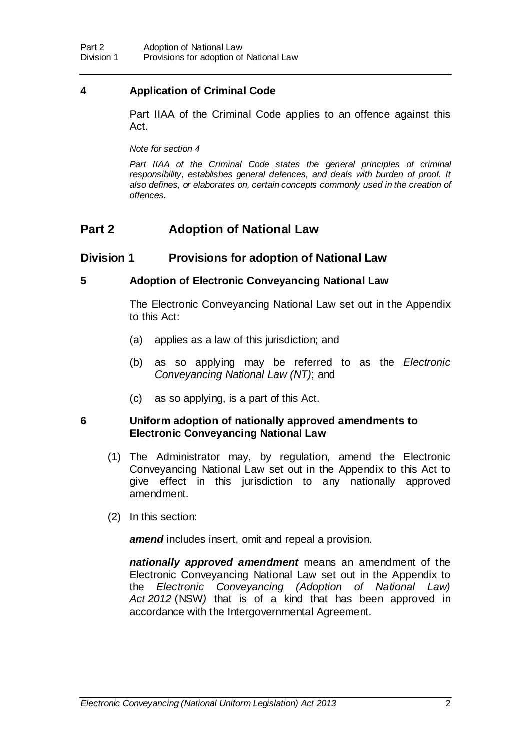## **4 Application of Criminal Code**

Part IIAA of the Criminal Code applies to an offence against this Act.

*Note for section 4*

Part IIAA of the Criminal Code states the general principles of criminal *responsibility, establishes general defences, and deals with burden of proof. It*  also defines, or elaborates on, certain concepts commonly used in the creation of *offences.*

# **Part 2 Adoption of National Law**

# **Division 1 Provisions for adoption of National Law**

### <span id="page-6-0"></span>**5 Adoption of Electronic Conveyancing National Law**

The Electronic Conveyancing National Law set out in the Appendix to this Act:

- (a) applies as a law of this jurisdiction; and
- (b) as so applying may be referred to as the *Electronic Conveyancing National Law (NT)*; and
- (c) as so applying, is a part of this Act.

### **6 Uniform adoption of nationally approved amendments to Electronic Conveyancing National Law**

- (1) The Administrator may, by regulation, amend the Electronic Conveyancing National Law set out in the Appendix to this Act to give effect in this jurisdiction to any nationally approved amendment.
- (2) In this section:

*amend* includes insert, omit and repeal a provision.

*nationally approved amendment* means an amendment of the Electronic Conveyancing National Law set out in the Appendix to the *Electronic Conveyancing (Adoption of National Law) Act 2012* (NSW*)* that is of a kind that has been approved in accordance with the Intergovernmental Agreement.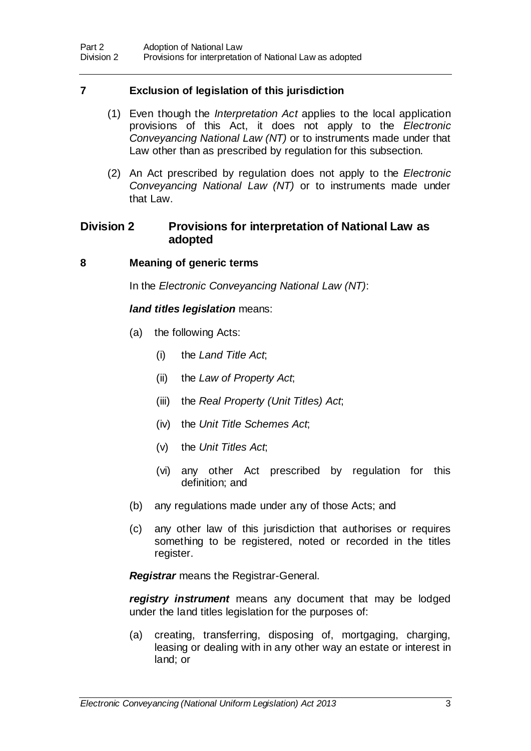## **7 Exclusion of legislation of this jurisdiction**

- (1) Even though the *Interpretation Act* applies to the local application provisions of this Act, it does not apply to the *Electronic Conveyancing National Law (NT)* or to instruments made under that Law other than as prescribed by regulation for this subsection.
- (2) An Act prescribed by regulation does not apply to the *Electronic Conveyancing National Law (NT)* or to instruments made under that Law.

## **Division 2 Provisions for interpretation of National Law as adopted**

### **8 Meaning of generic terms**

In the *Electronic Conveyancing National Law (NT)*:

### *land titles legislation* means:

- (a) the following Acts:
	- (i) the *Land Title Act*;
	- (ii) the *Law of Property Act*;
	- (iii) the *Real Property (Unit Titles) Act*;
	- (iv) the *Unit Title Schemes Act*;
	- (v) the *Unit Titles Act*;
	- (vi) any other Act prescribed by regulation for this definition; and
- (b) any regulations made under any of those Acts; and
- (c) any other law of this jurisdiction that authorises or requires something to be registered, noted or recorded in the titles register.

*Registrar* means the Registrar-General.

*registry instrument* means any document that may be lodged under the land titles legislation for the purposes of:

(a) creating, transferring, disposing of, mortgaging, charging, leasing or dealing with in any other way an estate or interest in land; or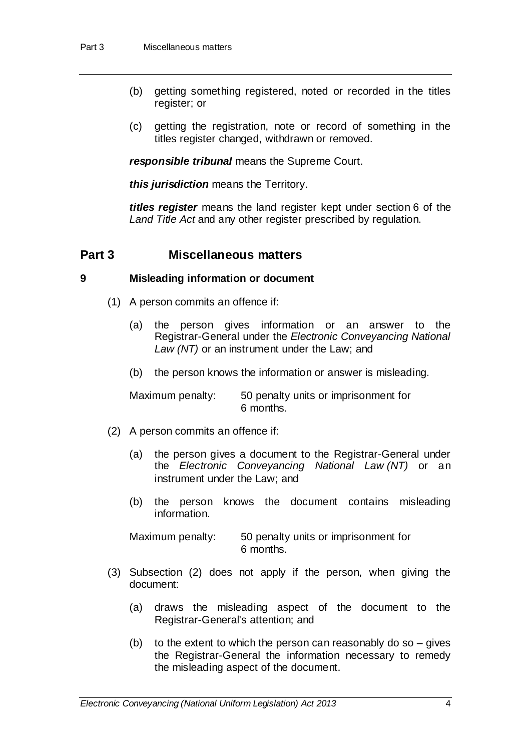- (b) getting something registered, noted or recorded in the titles register; or
- (c) getting the registration, note or record of something in the titles register changed, withdrawn or removed.

*responsible tribunal* means the Supreme Court.

*this jurisdiction* means the Territory.

*titles register* means the land register kept under section 6 of the *Land Title Act* and any other register prescribed by regulation.

# **Part 3 Miscellaneous matters**

### **9 Misleading information or document**

- (1) A person commits an offence if:
	- (a) the person gives information or an answer to the Registrar-General under the *Electronic Conveyancing National Law (NT)* or an instrument under the Law; and
	- (b) the person knows the information or answer is misleading.

Maximum penalty: 50 penalty units or imprisonment for 6 months.

- (2) A person commits an offence if:
	- (a) the person gives a document to the Registrar-General under the *Electronic Conveyancing National Law (NT)* or an instrument under the Law; and
	- (b) the person knows the document contains misleading information.

Maximum penalty: 50 penalty units or imprisonment for 6 months.

- (3) Subsection (2) does not apply if the person, when giving the document:
	- (a) draws the misleading aspect of the document to the Registrar-General's attention; and
	- (b) to the extent to which the person can reasonably do so  $-$  gives the Registrar-General the information necessary to remedy the misleading aspect of the document.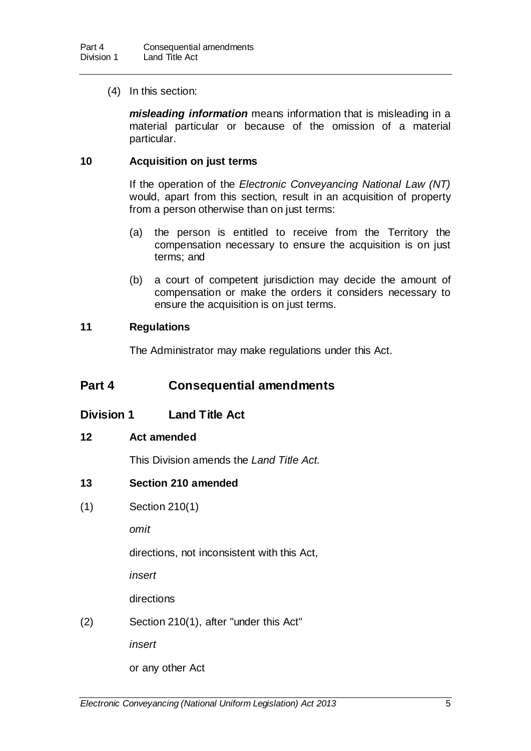(4) In this section:

*misleading information* means information that is misleading in a material particular or because of the omission of a material particular.

### **10 Acquisition on just terms**

If the operation of the *Electronic Conveyancing National Law (NT)*  would, apart from this section, result in an acquisition of property from a person otherwise than on just terms:

- (a) the person is entitled to receive from the Territory the compensation necessary to ensure the acquisition is on just terms; and
- (b) a court of competent jurisdiction may decide the amount of compensation or make the orders it considers necessary to ensure the acquisition is on just terms.

### **11 Regulations**

The Administrator may make regulations under this Act.

# **Part 4 Consequential amendments**

**Division 1 Land Title Act** 

### **12 Act amended**

This Division amends the *Land Title Act*.

### **13 Section 210 amended**

(1) Section 210(1)

*omit*

directions, not inconsistent with this Act,

*insert*

directions

(2) Section 210(1), after "under this Act"

*insert*

or any other Act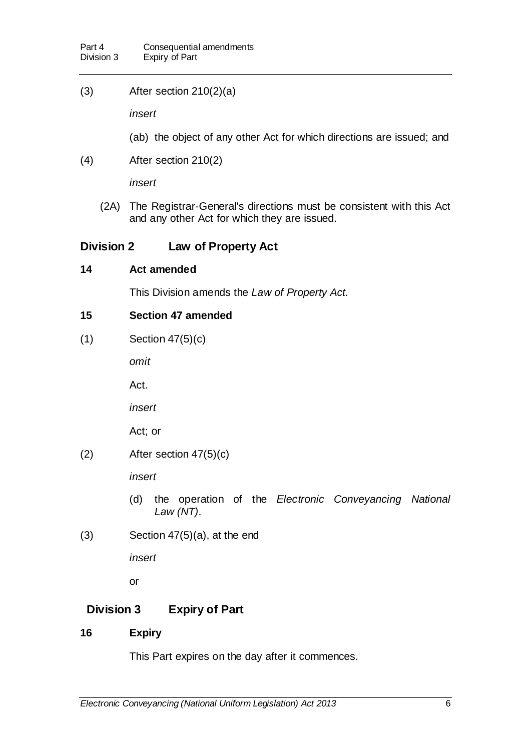(3) After section 210(2)(a)

*insert*

- (ab) the object of any other Act for which directions are issued; and
- (4) After section 210(2)

*insert*

(2A) The Registrar-General's directions must be consistent with this Act and any other Act for which they are issued.

# **Division 2 Law of Property Act**

### **14 Act amended**

This Division amends the *Law of Property Act*.

## **15 Section 47 amended**

(1) Section 47(5)(c)

*omit*

Act.

*insert*

Act; or

(2) After section 47(5)(c)

*insert*

- (d) the operation of the *Electronic Conveyancing National Law (NT)*.
- (3) Section 47(5)(a), at the end

*insert*

or

# **Division 3 Expiry of Part**

# **16 Expiry**

This Part expires on the day after it commences.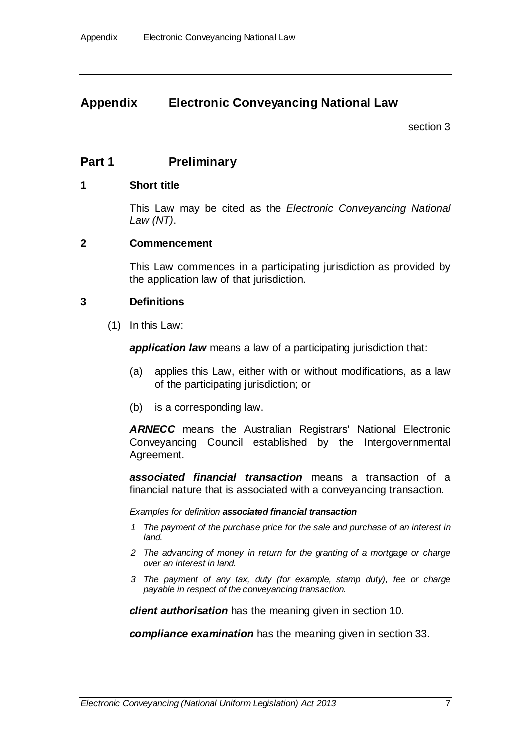# **Appendix Electronic Conveyancing National Law**

section [3](#page-5-0)

# **Part 1 Preliminary**

### **1 Short title**

This Law may be cited as the *Electronic Conveyancing National Law (NT)*.

### **2 Commencement**

This Law commences in a participating jurisdiction as provided by the application law of that jurisdiction.

### **3 Definitions**

(1) In this Law:

**application law** means a law of a participating jurisdiction that:

- (a) applies this Law, either with or without modifications, as a law of the participating jurisdiction; or
- (b) is a corresponding law.

*ARNECC* means the Australian Registrars' National Electronic Conveyancing Council established by the Intergovernmental Agreement.

*associated financial transaction* means a transaction of a financial nature that is associated with a conveyancing transaction.

*Examples for definition associated financial transaction*

- *1 The payment of the purchase price for the sale and purchase of an interest in land.*
- *2 The advancing of money in return for the granting of a mortgage or charge over an interest in land.*
- *3 The payment of any tax, duty (for example, stamp duty), fee or charge payable in respect of the conveyancing transaction.*

*client authorisation* has the meaning given in section 10.

*compliance examination* has the meaning given in section 33.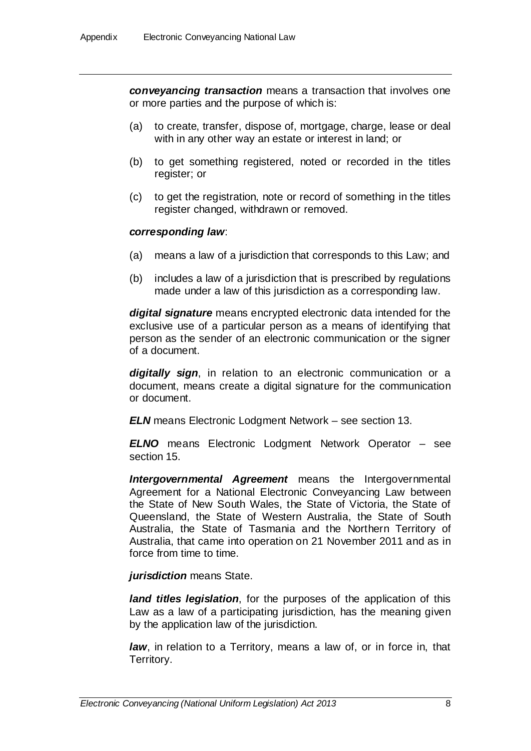*conveyancing transaction* means a transaction that involves one or more parties and the purpose of which is:

- (a) to create, transfer, dispose of, mortgage, charge, lease or deal with in any other way an estate or interest in land; or
- (b) to get something registered, noted or recorded in the titles register; or
- (c) to get the registration, note or record of something in the titles register changed, withdrawn or removed.

### *corresponding law*:

- (a) means a law of a jurisdiction that corresponds to this Law; and
- (b) includes a law of a jurisdiction that is prescribed by regulations made under a law of this jurisdiction as a corresponding law.

*digital signature* means encrypted electronic data intended for the exclusive use of a particular person as a means of identifying that person as the sender of an electronic communication or the signer of a document.

*digitally sign*, in relation to an electronic communication or a document, means create a digital signature for the communication or document.

*ELN* means Electronic Lodgment Network – see section 13.

*ELNO* means Electronic Lodgment Network Operator – see section 15.

*Intergovernmental Agreement* means the Intergovernmental Agreement for a National Electronic Conveyancing Law between the State of New South Wales, the State of Victoria, the State of Queensland, the State of Western Australia, the State of South Australia, the State of Tasmania and the Northern Territory of Australia, that came into operation on 21 November 2011 and as in force from time to time.

### *jurisdiction* means State.

*land titles legislation*, for the purposes of the application of this Law as a law of a participating jurisdiction, has the meaning given by the application law of the jurisdiction.

*law*, in relation to a Territory, means a law of, or in force in, that Territory.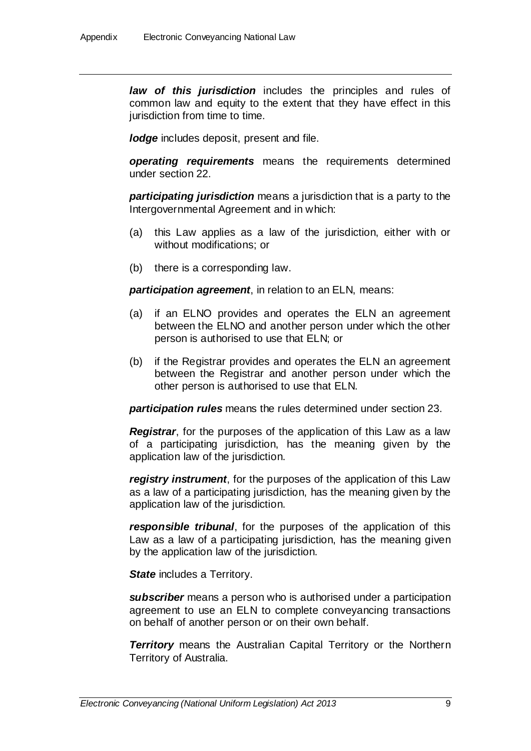*law of this jurisdiction* includes the principles and rules of common law and equity to the extent that they have effect in this jurisdiction from time to time.

*lodge* includes deposit, present and file.

*operating requirements* means the requirements determined under section 22.

*participating jurisdiction* means a jurisdiction that is a party to the Intergovernmental Agreement and in which:

- (a) this Law applies as a law of the jurisdiction, either with or without modifications; or
- (b) there is a corresponding law.

*participation agreement*, in relation to an ELN, means:

- (a) if an ELNO provides and operates the ELN an agreement between the ELNO and another person under which the other person is authorised to use that ELN; or
- (b) if the Registrar provides and operates the ELN an agreement between the Registrar and another person under which the other person is authorised to use that ELN.

*participation rules* means the rules determined under section 23.

*Registrar*, for the purposes of the application of this Law as a law of a participating jurisdiction, has the meaning given by the application law of the jurisdiction.

*registry instrument*, for the purposes of the application of this Law as a law of a participating jurisdiction, has the meaning given by the application law of the jurisdiction.

*responsible tribunal*, for the purposes of the application of this Law as a law of a participating jurisdiction, has the meaning given by the application law of the jurisdiction.

**State** includes a Territory.

*subscriber* means a person who is authorised under a participation agreement to use an ELN to complete conveyancing transactions on behalf of another person or on their own behalf.

*Territory* means the Australian Capital Territory or the Northern Territory of Australia.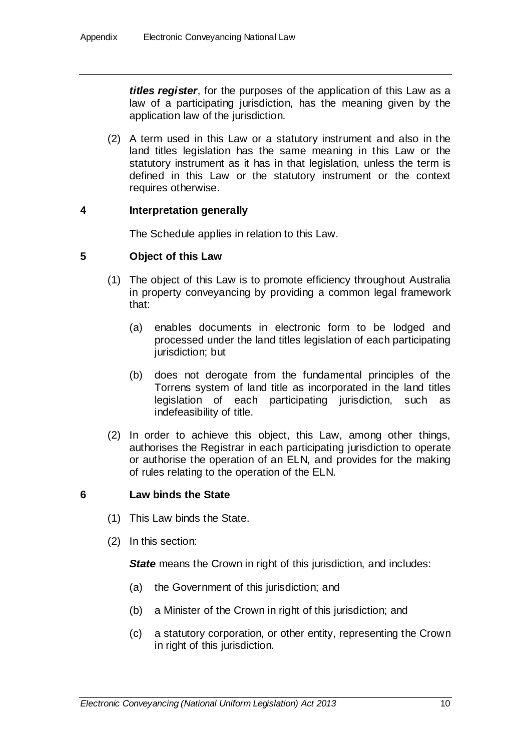*titles register*, for the purposes of the application of this Law as a law of a participating jurisdiction, has the meaning given by the application law of the jurisdiction.

(2) A term used in this Law or a statutory instrument and also in the land titles legislation has the same meaning in this Law or the statutory instrument as it has in that legislation, unless the term is defined in this Law or the statutory instrument or the context requires otherwise.

### **4 Interpretation generally**

The Schedule applies in relation to this Law.

### **5 Object of this Law**

- (1) The object of this Law is to promote efficiency throughout Australia in property conveyancing by providing a common legal framework that:
	- (a) enables documents in electronic form to be lodged and processed under the land titles legislation of each participating jurisdiction; but
	- (b) does not derogate from the fundamental principles of the Torrens system of land title as incorporated in the land titles legislation of each participating jurisdiction, such as indefeasibility of title.
- (2) In order to achieve this object, this Law, among other things, authorises the Registrar in each participating jurisdiction to operate or authorise the operation of an ELN, and provides for the making of rules relating to the operation of the ELN.

### **6 Law binds the State**

- (1) This Law binds the State.
- (2) In this section:

**State** means the Crown in right of this jurisdiction, and includes:

- (a) the Government of this jurisdiction; and
- (b) a Minister of the Crown in right of this jurisdiction; and
- (c) a statutory corporation, or other entity, representing the Crown in right of this jurisdiction.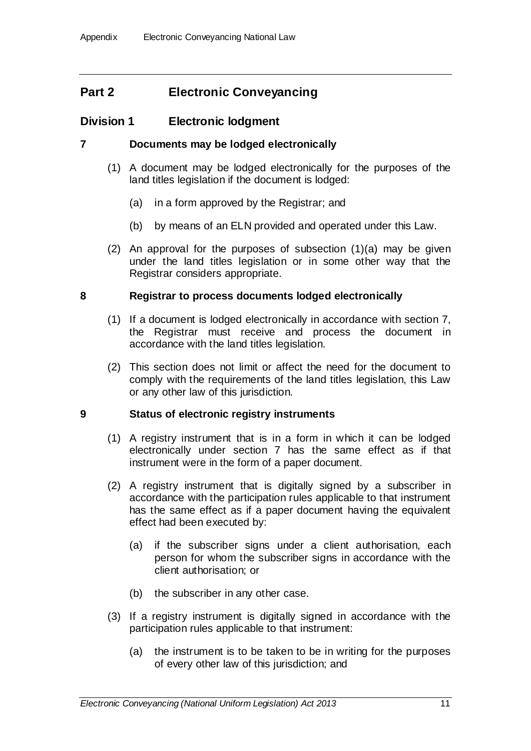# **Part 2 Electronic Conveyancing**

# **Division 1 Electronic lodgment**

## **7 Documents may be lodged electronically**

- (1) A document may be lodged electronically for the purposes of the land titles legislation if the document is lodged:
	- (a) in a form approved by the Registrar; and
	- (b) by means of an ELN provided and operated under this Law.
- (2) An approval for the purposes of subsection (1)(a) may be given under the land titles legislation or in some other way that the Registrar considers appropriate.

## **8 Registrar to process documents lodged electronically**

- (1) If a document is lodged electronically in accordance with section 7, the Registrar must receive and process the document in accordance with the land titles legislation.
- (2) This section does not limit or affect the need for the document to comply with the requirements of the land titles legislation, this Law or any other law of this jurisdiction.

### **9 Status of electronic registry instruments**

- (1) A registry instrument that is in a form in which it can be lodged electronically under section 7 has the same effect as if that instrument were in the form of a paper document.
- (2) A registry instrument that is digitally signed by a subscriber in accordance with the participation rules applicable to that instrument has the same effect as if a paper document having the equivalent effect had been executed by:
	- (a) if the subscriber signs under a client authorisation, each person for whom the subscriber signs in accordance with the client authorisation; or
	- (b) the subscriber in any other case.
- (3) If a registry instrument is digitally signed in accordance with the participation rules applicable to that instrument:
	- (a) the instrument is to be taken to be in writing for the purposes of every other law of this jurisdiction; and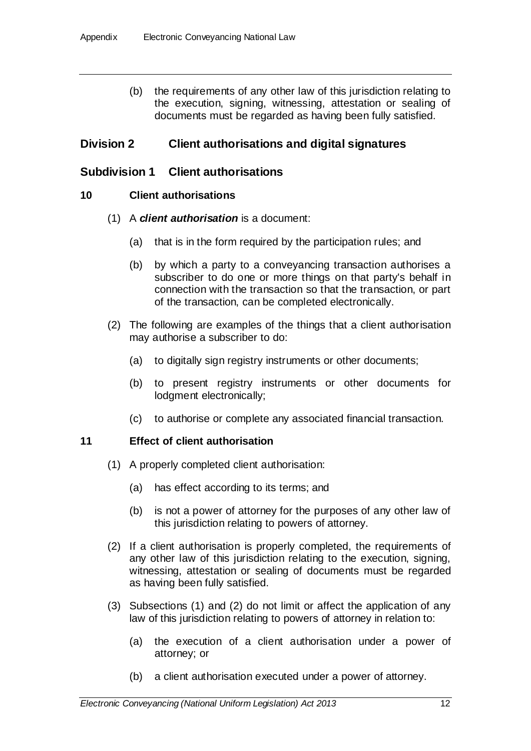(b) the requirements of any other law of this jurisdiction relating to the execution, signing, witnessing, attestation or sealing of documents must be regarded as having been fully satisfied.

# **Division 2 Client authorisations and digital signatures**

# **Subdivision 1 Client authorisations**

## **10 Client authorisations**

- (1) A *client authorisation* is a document:
	- (a) that is in the form required by the participation rules; and
	- (b) by which a party to a conveyancing transaction authorises a subscriber to do one or more things on that party's behalf in connection with the transaction so that the transaction, or part of the transaction, can be completed electronically.
- (2) The following are examples of the things that a client authorisation may authorise a subscriber to do:
	- (a) to digitally sign registry instruments or other documents;
	- (b) to present registry instruments or other documents for lodgment electronically;
	- (c) to authorise or complete any associated financial transaction.

# **11 Effect of client authorisation**

- (1) A properly completed client authorisation:
	- (a) has effect according to its terms; and
	- (b) is not a power of attorney for the purposes of any other law of this jurisdiction relating to powers of attorney.
- (2) If a client authorisation is properly completed, the requirements of any other law of this jurisdiction relating to the execution, signing, witnessing, attestation or sealing of documents must be regarded as having been fully satisfied.
- (3) Subsections (1) and (2) do not limit or affect the application of any law of this jurisdiction relating to powers of attorney in relation to:
	- (a) the execution of a client authorisation under a power of attorney; or
	- (b) a client authorisation executed under a power of attorney.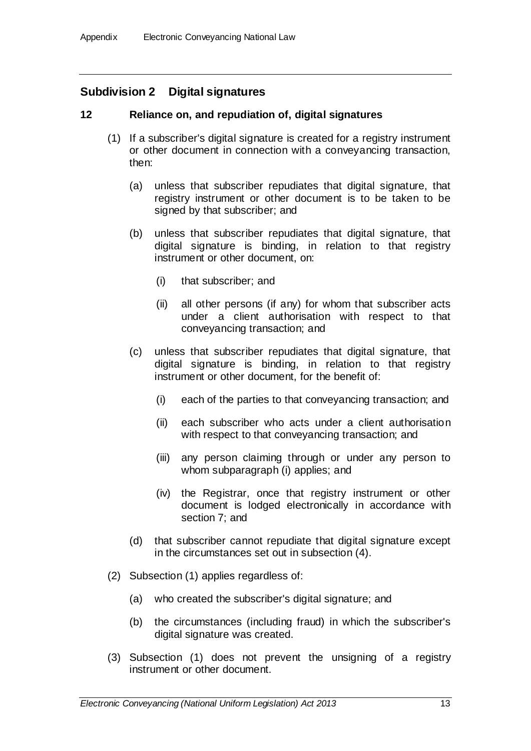# **Subdivision 2 Digital signatures**

## **12 Reliance on, and repudiation of, digital signatures**

- (1) If a subscriber's digital signature is created for a registry instrument or other document in connection with a conveyancing transaction, then:
	- (a) unless that subscriber repudiates that digital signature, that registry instrument or other document is to be taken to be signed by that subscriber; and
	- (b) unless that subscriber repudiates that digital signature, that digital signature is binding, in relation to that registry instrument or other document, on:
		- (i) that subscriber; and
		- (ii) all other persons (if any) for whom that subscriber acts under a client authorisation with respect to that conveyancing transaction; and
	- (c) unless that subscriber repudiates that digital signature, that digital signature is binding, in relation to that registry instrument or other document, for the benefit of:
		- (i) each of the parties to that conveyancing transaction; and
		- (ii) each subscriber who acts under a client authorisation with respect to that conveyancing transaction; and
		- (iii) any person claiming through or under any person to whom subparagraph (i) applies; and
		- (iv) the Registrar, once that registry instrument or other document is lodged electronically in accordance with section 7; and
	- (d) that subscriber cannot repudiate that digital signature except in the circumstances set out in subsection (4).
- (2) Subsection (1) applies regardless of:
	- (a) who created the subscriber's digital signature; and
	- (b) the circumstances (including fraud) in which the subscriber's digital signature was created.
- (3) Subsection (1) does not prevent the unsigning of a registry instrument or other document.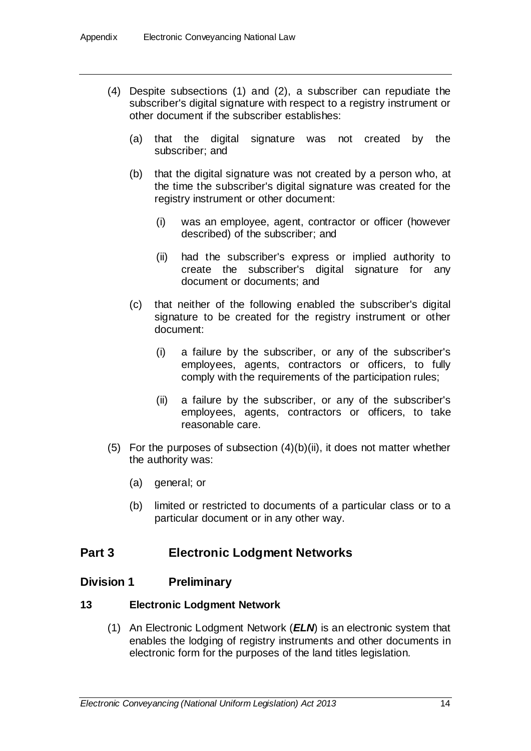- (4) Despite subsections (1) and (2), a subscriber can repudiate the subscriber's digital signature with respect to a registry instrument or other document if the subscriber establishes:
	- (a) that the digital signature was not created by the subscriber; and
	- (b) that the digital signature was not created by a person who, at the time the subscriber's digital signature was created for the registry instrument or other document:
		- (i) was an employee, agent, contractor or officer (however described) of the subscriber; and
		- (ii) had the subscriber's express or implied authority to create the subscriber's digital signature for any document or documents; and
	- (c) that neither of the following enabled the subscriber's digital signature to be created for the registry instrument or other document:
		- (i) a failure by the subscriber, or any of the subscriber's employees, agents, contractors or officers, to fully comply with the requirements of the participation rules;
		- (ii) a failure by the subscriber, or any of the subscriber's employees, agents, contractors or officers, to take reasonable care.
- (5) For the purposes of subsection  $(4)(b)(ii)$ , it does not matter whether the authority was:
	- (a) general; or
	- (b) limited or restricted to documents of a particular class or to a particular document or in any other way.

# **Part 3 Electronic Lodgment Networks**

# **Division 1 Preliminary**

### **13 Electronic Lodgment Network**

(1) An Electronic Lodgment Network (*ELN*) is an electronic system that enables the lodging of registry instruments and other documents in electronic form for the purposes of the land titles legislation.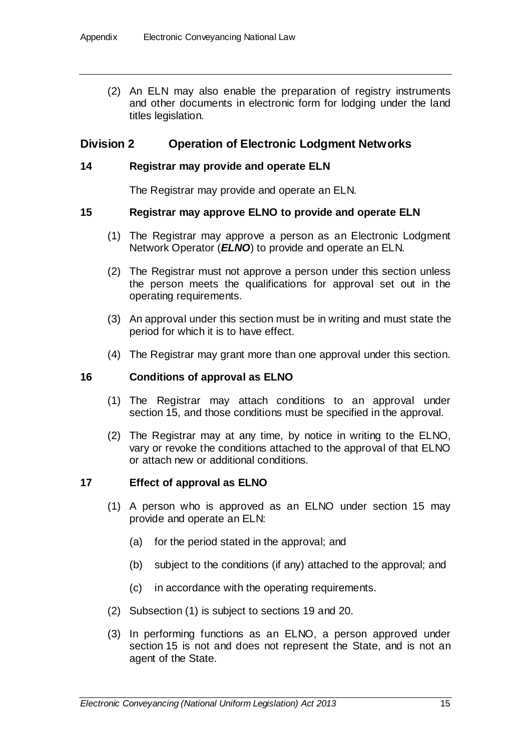(2) An ELN may also enable the preparation of registry instruments and other documents in electronic form for lodging under the land titles legislation.

### **Division 2 Operation of Electronic Lodgment Networks**

### **14 Registrar may provide and operate ELN**

The Registrar may provide and operate an ELN.

### **15 Registrar may approve ELNO to provide and operate ELN**

- (1) The Registrar may approve a person as an Electronic Lodgment Network Operator (*ELNO*) to provide and operate an ELN.
- (2) The Registrar must not approve a person under this section unless the person meets the qualifications for approval set out in the operating requirements.
- (3) An approval under this section must be in writing and must state the period for which it is to have effect.
- (4) The Registrar may grant more than one approval under this section.

#### **16 Conditions of approval as ELNO**

- (1) The Registrar may attach conditions to an approval under section 15, and those conditions must be specified in the approval.
- (2) The Registrar may at any time, by notice in writing to the ELNO, vary or revoke the conditions attached to the approval of that ELNO or attach new or additional conditions.

### **17 Effect of approval as ELNO**

- (1) A person who is approved as an ELNO under section 15 may provide and operate an ELN:
	- (a) for the period stated in the approval; and
	- (b) subject to the conditions (if any) attached to the approval; and
	- (c) in accordance with the operating requirements.
- (2) Subsection (1) is subject to sections 19 and 20.
- (3) In performing functions as an ELNO, a person approved under section 15 is not and does not represent the State, and is not an agent of the State.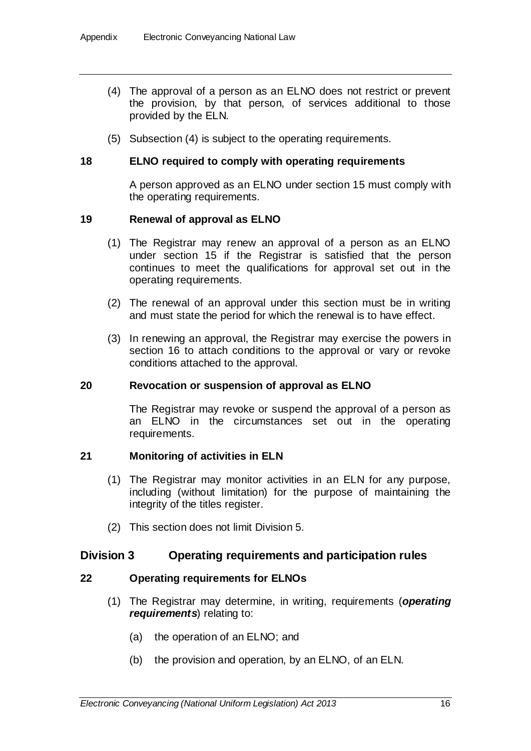- (4) The approval of a person as an ELNO does not restrict or prevent the provision, by that person, of services additional to those provided by the ELN.
- (5) Subsection (4) is subject to the operating requirements.

### **18 ELNO required to comply with operating requirements**

A person approved as an ELNO under section 15 must comply with the operating requirements.

### **19 Renewal of approval as ELNO**

- (1) The Registrar may renew an approval of a person as an ELNO under section 15 if the Registrar is satisfied that the person continues to meet the qualifications for approval set out in the operating requirements.
- (2) The renewal of an approval under this section must be in writing and must state the period for which the renewal is to have effect.
- (3) In renewing an approval, the Registrar may exercise the powers in section 16 to attach conditions to the approval or vary or revoke conditions attached to the approval.

#### **20 Revocation or suspension of approval as ELNO**

The Registrar may revoke or suspend the approval of a person as an ELNO in the circumstances set out in the operating requirements.

#### **21 Monitoring of activities in ELN**

- (1) The Registrar may monitor activities in an ELN for any purpose, including (without limitation) for the purpose of maintaining the integrity of the titles register.
- (2) This section does not limit Division 5.

### **Division 3 Operating requirements and participation rules**

### **22 Operating requirements for ELNOs**

- (1) The Registrar may determine, in writing, requirements (*operating requirements*) relating to:
	- (a) the operation of an ELNO; and
	- (b) the provision and operation, by an ELNO, of an ELN.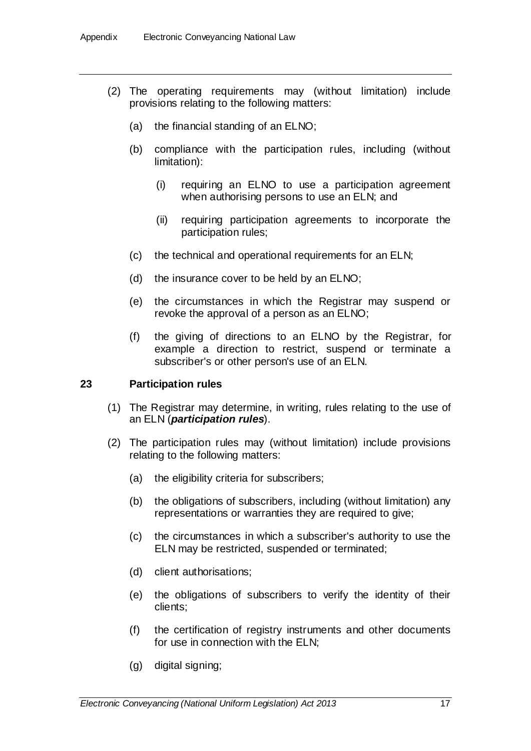- (2) The operating requirements may (without limitation) include provisions relating to the following matters:
	- (a) the financial standing of an ELNO;
	- (b) compliance with the participation rules, including (without limitation):
		- (i) requiring an ELNO to use a participation agreement when authorising persons to use an ELN; and
		- (ii) requiring participation agreements to incorporate the participation rules;
	- (c) the technical and operational requirements for an ELN;
	- (d) the insurance cover to be held by an ELNO;
	- (e) the circumstances in which the Registrar may suspend or revoke the approval of a person as an ELNO;
	- (f) the giving of directions to an ELNO by the Registrar, for example a direction to restrict, suspend or terminate a subscriber's or other person's use of an ELN.

### **23 Participation rules**

- (1) The Registrar may determine, in writing, rules relating to the use of an ELN (*participation rules*).
- (2) The participation rules may (without limitation) include provisions relating to the following matters:
	- (a) the eligibility criteria for subscribers;
	- (b) the obligations of subscribers, including (without limitation) any representations or warranties they are required to give;
	- (c) the circumstances in which a subscriber's authority to use the ELN may be restricted, suspended or terminated;
	- (d) client authorisations;
	- (e) the obligations of subscribers to verify the identity of their clients;
	- (f) the certification of registry instruments and other documents for use in connection with the ELN;
	- (g) digital signing;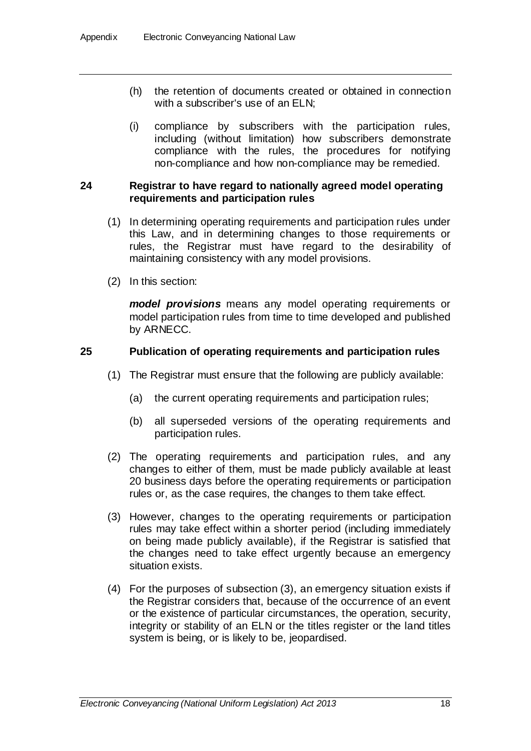- (h) the retention of documents created or obtained in connection with a subscriber's use of an ELN;
- (i) compliance by subscribers with the participation rules, including (without limitation) how subscribers demonstrate compliance with the rules, the procedures for notifying non-compliance and how non-compliance may be remedied.

### **24 Registrar to have regard to nationally agreed model operating requirements and participation rules**

- (1) In determining operating requirements and participation rules under this Law, and in determining changes to those requirements or rules, the Registrar must have regard to the desirability of maintaining consistency with any model provisions.
- (2) In this section:

*model provisions* means any model operating requirements or model participation rules from time to time developed and published by ARNECC.

### **25 Publication of operating requirements and participation rules**

- (1) The Registrar must ensure that the following are publicly available:
	- (a) the current operating requirements and participation rules;
	- (b) all superseded versions of the operating requirements and participation rules.
- (2) The operating requirements and participation rules, and any changes to either of them, must be made publicly available at least 20 business days before the operating requirements or participation rules or, as the case requires, the changes to them take effect.
- (3) However, changes to the operating requirements or participation rules may take effect within a shorter period (including immediately on being made publicly available), if the Registrar is satisfied that the changes need to take effect urgently because an emergency situation exists.
- (4) For the purposes of subsection (3), an emergency situation exists if the Registrar considers that, because of the occurrence of an event or the existence of particular circumstances, the operation, security, integrity or stability of an ELN or the titles register or the land titles system is being, or is likely to be, jeopardised.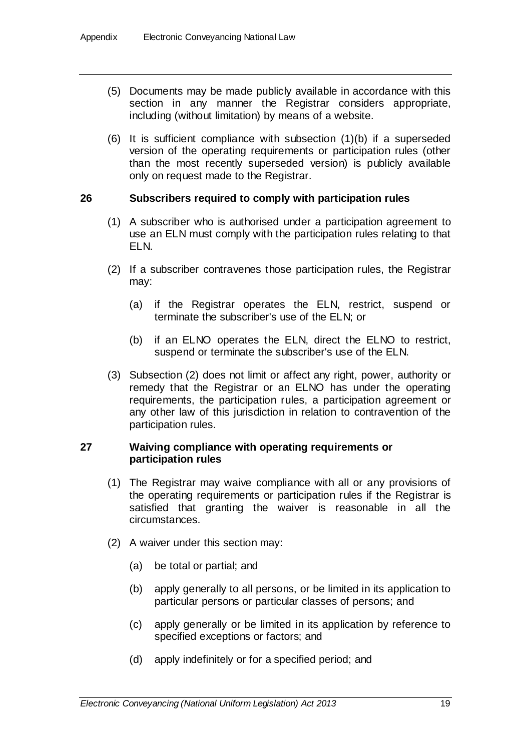- (5) Documents may be made publicly available in accordance with this section in any manner the Registrar considers appropriate, including (without limitation) by means of a website.
- (6) It is sufficient compliance with subsection (1)(b) if a superseded version of the operating requirements or participation rules (other than the most recently superseded version) is publicly available only on request made to the Registrar.

### **26 Subscribers required to comply with participation rules**

- (1) A subscriber who is authorised under a participation agreement to use an ELN must comply with the participation rules relating to that ELN.
- (2) If a subscriber contravenes those participation rules, the Registrar may:
	- (a) if the Registrar operates the ELN, restrict, suspend or terminate the subscriber's use of the ELN; or
	- (b) if an ELNO operates the ELN, direct the ELNO to restrict, suspend or terminate the subscriber's use of the ELN.
- (3) Subsection (2) does not limit or affect any right, power, authority or remedy that the Registrar or an ELNO has under the operating requirements, the participation rules, a participation agreement or any other law of this jurisdiction in relation to contravention of the participation rules.

### **27 Waiving compliance with operating requirements or participation rules**

- (1) The Registrar may waive compliance with all or any provisions of the operating requirements or participation rules if the Registrar is satisfied that granting the waiver is reasonable in all the circumstances.
- (2) A waiver under this section may:
	- (a) be total or partial; and
	- (b) apply generally to all persons, or be limited in its application to particular persons or particular classes of persons; and
	- (c) apply generally or be limited in its application by reference to specified exceptions or factors; and
	- (d) apply indefinitely or for a specified period; and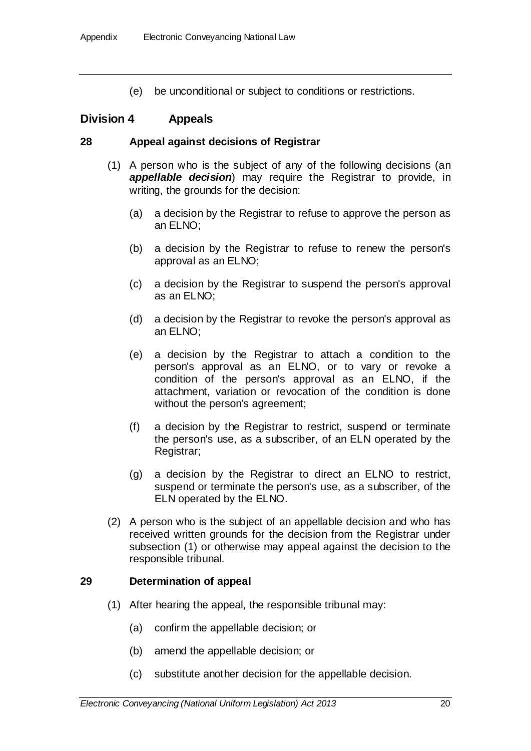(e) be unconditional or subject to conditions or restrictions.

# **Division 4 Appeals**

#### **28 Appeal against decisions of Registrar**

- (1) A person who is the subject of any of the following decisions (an *appellable decision*) may require the Registrar to provide, in writing, the grounds for the decision:
	- (a) a decision by the Registrar to refuse to approve the person as an ELNO;
	- (b) a decision by the Registrar to refuse to renew the person's approval as an ELNO;
	- (c) a decision by the Registrar to suspend the person's approval as an ELNO;
	- (d) a decision by the Registrar to revoke the person's approval as an ELNO;
	- (e) a decision by the Registrar to attach a condition to the person's approval as an ELNO, or to vary or revoke a condition of the person's approval as an ELNO, if the attachment, variation or revocation of the condition is done without the person's agreement;
	- (f) a decision by the Registrar to restrict, suspend or terminate the person's use, as a subscriber, of an ELN operated by the Registrar;
	- (g) a decision by the Registrar to direct an ELNO to restrict, suspend or terminate the person's use, as a subscriber, of the ELN operated by the ELNO.
- (2) A person who is the subject of an appellable decision and who has received written grounds for the decision from the Registrar under subsection (1) or otherwise may appeal against the decision to the responsible tribunal.

### **29 Determination of appeal**

- (1) After hearing the appeal, the responsible tribunal may:
	- (a) confirm the appellable decision; or
	- (b) amend the appellable decision; or
	- (c) substitute another decision for the appellable decision.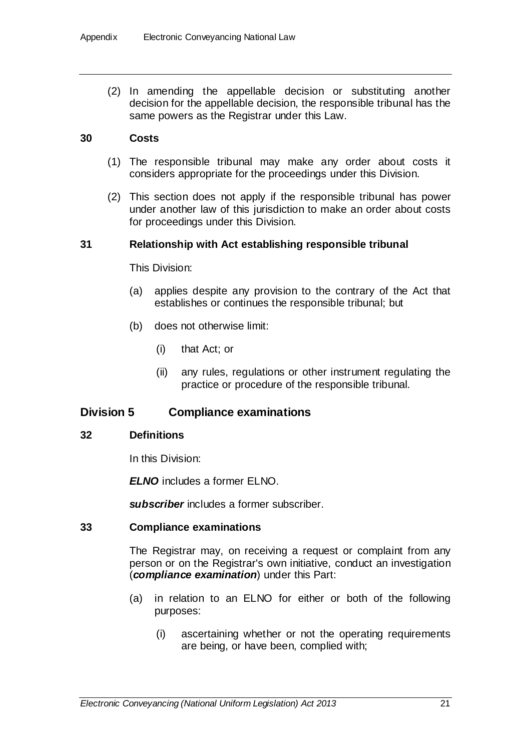(2) In amending the appellable decision or substituting another decision for the appellable decision, the responsible tribunal has the same powers as the Registrar under this Law.

### **30 Costs**

- (1) The responsible tribunal may make any order about costs it considers appropriate for the proceedings under this Division.
- (2) This section does not apply if the responsible tribunal has power under another law of this jurisdiction to make an order about costs for proceedings under this Division.

### **31 Relationship with Act establishing responsible tribunal**

This Division:

- (a) applies despite any provision to the contrary of the Act that establishes or continues the responsible tribunal; but
- (b) does not otherwise limit:
	- (i) that Act; or
	- (ii) any rules, regulations or other instrument regulating the practice or procedure of the responsible tribunal.

### **Division 5 Compliance examinations**

#### **32 Definitions**

In this Division:

*ELNO* includes a former ELNO.

*subscriber* includes a former subscriber.

#### **33 Compliance examinations**

The Registrar may, on receiving a request or complaint from any person or on the Registrar's own initiative, conduct an investigation (*compliance examination*) under this Part:

- (a) in relation to an ELNO for either or both of the following purposes:
	- (i) ascertaining whether or not the operating requirements are being, or have been, complied with;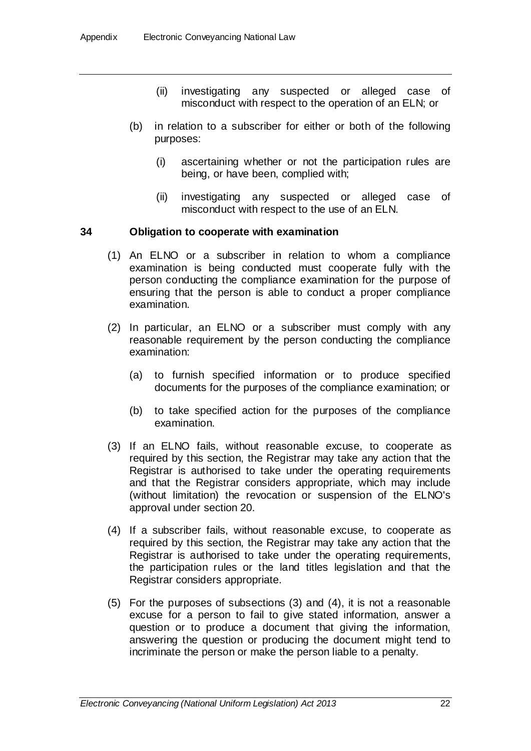- (ii) investigating any suspected or alleged case of misconduct with respect to the operation of an ELN; or
- (b) in relation to a subscriber for either or both of the following purposes:
	- (i) ascertaining whether or not the participation rules are being, or have been, complied with;
	- (ii) investigating any suspected or alleged case of misconduct with respect to the use of an ELN.

### **34 Obligation to cooperate with examination**

- (1) An ELNO or a subscriber in relation to whom a compliance examination is being conducted must cooperate fully with the person conducting the compliance examination for the purpose of ensuring that the person is able to conduct a proper compliance examination.
- (2) In particular, an ELNO or a subscriber must comply with any reasonable requirement by the person conducting the compliance examination:
	- (a) to furnish specified information or to produce specified documents for the purposes of the compliance examination; or
	- (b) to take specified action for the purposes of the compliance examination.
- (3) If an ELNO fails, without reasonable excuse, to cooperate as required by this section, the Registrar may take any action that the Registrar is authorised to take under the operating requirements and that the Registrar considers appropriate, which may include (without limitation) the revocation or suspension of the ELNO's approval under section 20.
- (4) If a subscriber fails, without reasonable excuse, to cooperate as required by this section, the Registrar may take any action that the Registrar is authorised to take under the operating requirements, the participation rules or the land titles legislation and that the Registrar considers appropriate.
- (5) For the purposes of subsections (3) and (4), it is not a reasonable excuse for a person to fail to give stated information, answer a question or to produce a document that giving the information, answering the question or producing the document might tend to incriminate the person or make the person liable to a penalty.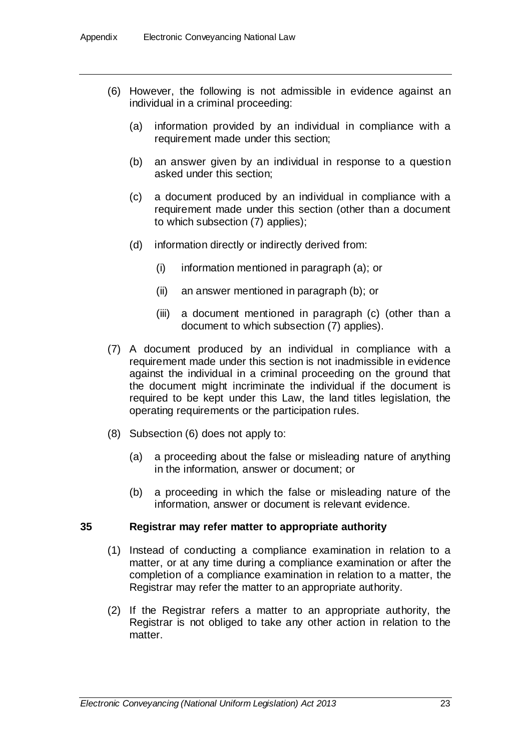- (6) However, the following is not admissible in evidence against an individual in a criminal proceeding:
	- (a) information provided by an individual in compliance with a requirement made under this section;
	- (b) an answer given by an individual in response to a question asked under this section;
	- (c) a document produced by an individual in compliance with a requirement made under this section (other than a document to which subsection (7) applies);
	- (d) information directly or indirectly derived from:
		- (i) information mentioned in paragraph (a); or
		- (ii) an answer mentioned in paragraph (b); or
		- (iii) a document mentioned in paragraph (c) (other than a document to which subsection (7) applies).
- (7) A document produced by an individual in compliance with a requirement made under this section is not inadmissible in evidence against the individual in a criminal proceeding on the ground that the document might incriminate the individual if the document is required to be kept under this Law, the land titles legislation, the operating requirements or the participation rules.
- (8) Subsection (6) does not apply to:
	- (a) a proceeding about the false or misleading nature of anything in the information, answer or document; or
	- (b) a proceeding in which the false or misleading nature of the information, answer or document is relevant evidence.

#### **35 Registrar may refer matter to appropriate authority**

- (1) Instead of conducting a compliance examination in relation to a matter, or at any time during a compliance examination or after the completion of a compliance examination in relation to a matter, the Registrar may refer the matter to an appropriate authority.
- (2) If the Registrar refers a matter to an appropriate authority, the Registrar is not obliged to take any other action in relation to the matter.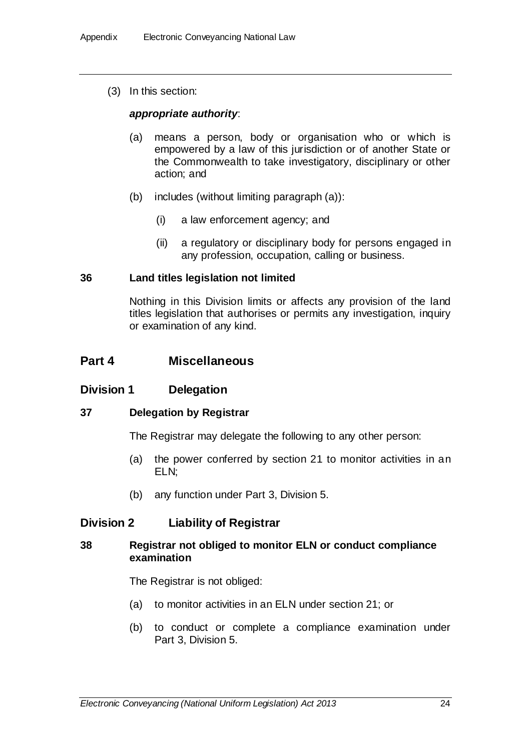(3) In this section:

### *appropriate authority*:

- (a) means a person, body or organisation who or which is empowered by a law of this jurisdiction or of another State or the Commonwealth to take investigatory, disciplinary or other action; and
- (b) includes (without limiting paragraph (a)):
	- (i) a law enforcement agency; and
	- (ii) a regulatory or disciplinary body for persons engaged in any profession, occupation, calling or business.

### **36 Land titles legislation not limited**

Nothing in this Division limits or affects any provision of the land titles legislation that authorises or permits any investigation, inquiry or examination of any kind.

## **Part 4 Miscellaneous**

### **Division 1 Delegation**

### **37 Delegation by Registrar**

The Registrar may delegate the following to any other person:

- (a) the power conferred by section 21 to monitor activities in an ELN;
- (b) any function under Part 3, Division 5.

# **Division 2 Liability of Registrar**

### **38 Registrar not obliged to monitor ELN or conduct compliance examination**

The Registrar is not obliged:

- (a) to monitor activities in an ELN under section 21; or
- (b) to conduct or complete a compliance examination under Part 3, Division 5.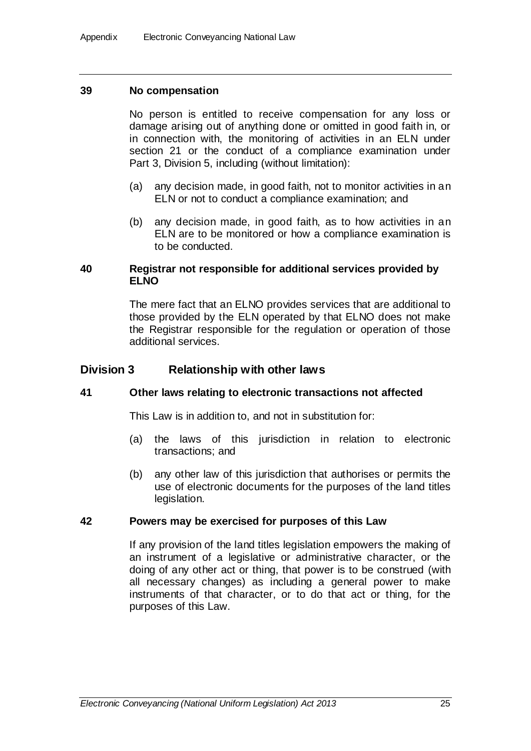### **39 No compensation**

No person is entitled to receive compensation for any loss or damage arising out of anything done or omitted in good faith in, or in connection with, the monitoring of activities in an ELN under section 21 or the conduct of a compliance examination under Part 3, Division 5, including (without limitation):

- (a) any decision made, in good faith, not to monitor activities in an ELN or not to conduct a compliance examination; and
- (b) any decision made, in good faith, as to how activities in an ELN are to be monitored or how a compliance examination is to be conducted.

### **40 Registrar not responsible for additional services provided by ELNO**

The mere fact that an ELNO provides services that are additional to those provided by the ELN operated by that ELNO does not make the Registrar responsible for the regulation or operation of those additional services.

## **Division 3 Relationship with other laws**

### **41 Other laws relating to electronic transactions not affected**

This Law is in addition to, and not in substitution for:

- (a) the laws of this jurisdiction in relation to electronic transactions; and
- (b) any other law of this jurisdiction that authorises or permits the use of electronic documents for the purposes of the land titles legislation.

#### **42 Powers may be exercised for purposes of this Law**

If any provision of the land titles legislation empowers the making of an instrument of a legislative or administrative character, or the doing of any other act or thing, that power is to be construed (with all necessary changes) as including a general power to make instruments of that character, or to do that act or thing, for the purposes of this Law.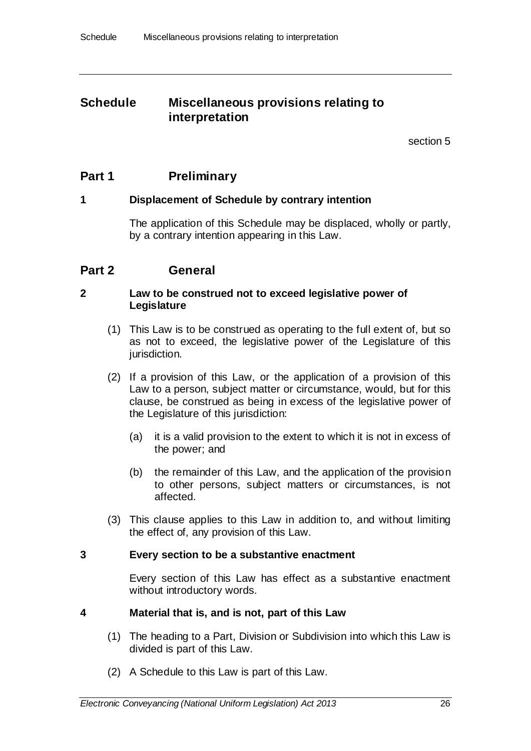# **Schedule Miscellaneous provisions relating to interpretation**

section [5](#page-6-0)

# **Part 1 Preliminary**

## **1 Displacement of Schedule by contrary intention**

The application of this Schedule may be displaced, wholly or partly, by a contrary intention appearing in this Law.

# **Part 2 General**

### **2 Law to be construed not to exceed legislative power of Legislature**

- (1) This Law is to be construed as operating to the full extent of, but so as not to exceed, the legislative power of the Legislature of this jurisdiction.
- (2) If a provision of this Law, or the application of a provision of this Law to a person, subject matter or circumstance, would, but for this clause, be construed as being in excess of the legislative power of the Legislature of this jurisdiction:
	- (a) it is a valid provision to the extent to which it is not in excess of the power; and
	- (b) the remainder of this Law, and the application of the provision to other persons, subject matters or circumstances, is not affected.
- (3) This clause applies to this Law in addition to, and without limiting the effect of, any provision of this Law.

### **3 Every section to be a substantive enactment**

Every section of this Law has effect as a substantive enactment without introductory words.

### **4 Material that is, and is not, part of this Law**

- (1) The heading to a Part, Division or Subdivision into which this Law is divided is part of this Law.
- (2) A Schedule to this Law is part of this Law.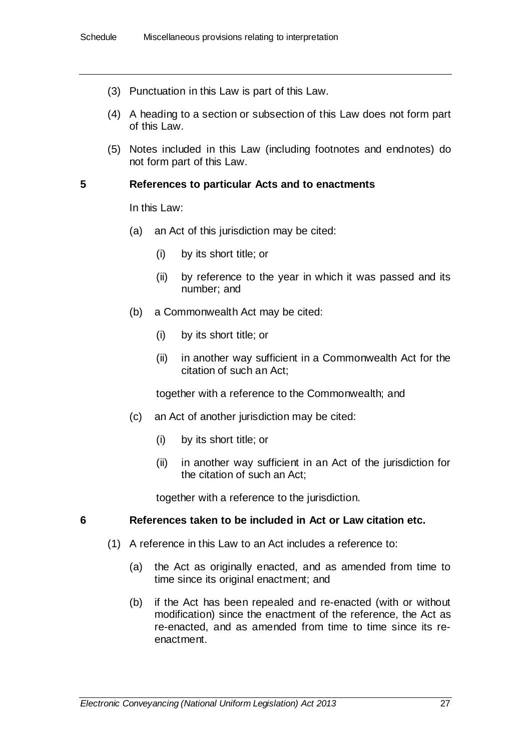- (3) Punctuation in this Law is part of this Law.
- (4) A heading to a section or subsection of this Law does not form part of this Law.
- (5) Notes included in this Law (including footnotes and endnotes) do not form part of this Law.

### **5 References to particular Acts and to enactments**

In this Law:

- (a) an Act of this jurisdiction may be cited:
	- (i) by its short title; or
	- (ii) by reference to the year in which it was passed and its number; and
- (b) a Commonwealth Act may be cited:
	- (i) by its short title; or
	- (ii) in another way sufficient in a Commonwealth Act for the citation of such an Act;

together with a reference to the Commonwealth; and

- (c) an Act of another jurisdiction may be cited:
	- (i) by its short title; or
	- (ii) in another way sufficient in an Act of the jurisdiction for the citation of such an Act;

together with a reference to the jurisdiction.

### **6 References taken to be included in Act or Law citation etc.**

- (1) A reference in this Law to an Act includes a reference to:
	- (a) the Act as originally enacted, and as amended from time to time since its original enactment; and
	- (b) if the Act has been repealed and re-enacted (with or without modification) since the enactment of the reference, the Act as re-enacted, and as amended from time to time since its reenactment.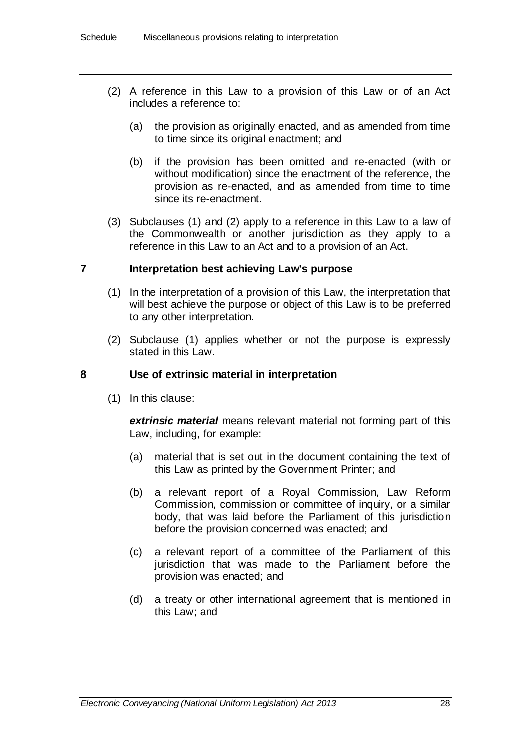- (2) A reference in this Law to a provision of this Law or of an Act includes a reference to:
	- (a) the provision as originally enacted, and as amended from time to time since its original enactment; and
	- (b) if the provision has been omitted and re-enacted (with or without modification) since the enactment of the reference, the provision as re-enacted, and as amended from time to time since its re-enactment.
- (3) Subclauses (1) and (2) apply to a reference in this Law to a law of the Commonwealth or another jurisdiction as they apply to a reference in this Law to an Act and to a provision of an Act.

### **7 Interpretation best achieving Law's purpose**

- (1) In the interpretation of a provision of this Law, the interpretation that will best achieve the purpose or object of this Law is to be preferred to any other interpretation.
- (2) Subclause (1) applies whether or not the purpose is expressly stated in this Law.

### **8 Use of extrinsic material in interpretation**

(1) In this clause:

*extrinsic material* means relevant material not forming part of this Law, including, for example:

- (a) material that is set out in the document containing the text of this Law as printed by the Government Printer; and
- (b) a relevant report of a Royal Commission, Law Reform Commission, commission or committee of inquiry, or a similar body, that was laid before the Parliament of this jurisdiction before the provision concerned was enacted; and
- (c) a relevant report of a committee of the Parliament of this jurisdiction that was made to the Parliament before the provision was enacted; and
- (d) a treaty or other international agreement that is mentioned in this Law; and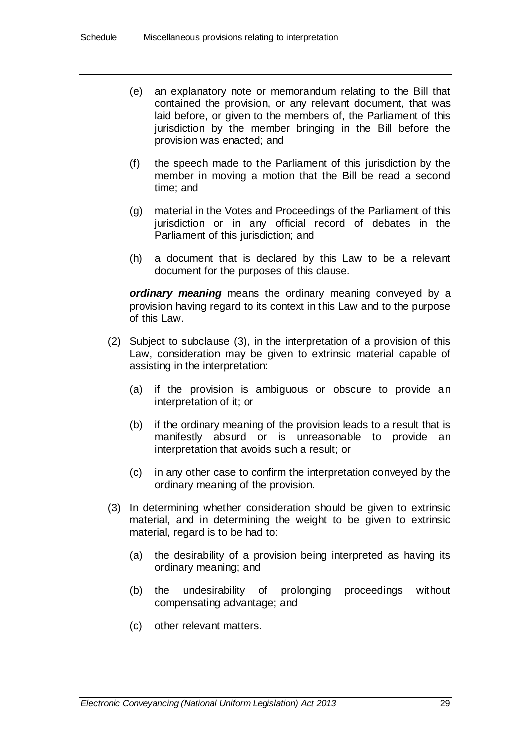- (e) an explanatory note or memorandum relating to the Bill that contained the provision, or any relevant document, that was laid before, or given to the members of, the Parliament of this jurisdiction by the member bringing in the Bill before the provision was enacted; and
- (f) the speech made to the Parliament of this jurisdiction by the member in moving a motion that the Bill be read a second time; and
- (g) material in the Votes and Proceedings of the Parliament of this jurisdiction or in any official record of debates in the Parliament of this jurisdiction; and
- (h) a document that is declared by this Law to be a relevant document for the purposes of this clause.

*ordinary meaning* means the ordinary meaning conveyed by a provision having regard to its context in this Law and to the purpose of this Law.

- (2) Subject to subclause (3), in the interpretation of a provision of this Law, consideration may be given to extrinsic material capable of assisting in the interpretation:
	- (a) if the provision is ambiguous or obscure to provide an interpretation of it; or
	- (b) if the ordinary meaning of the provision leads to a result that is manifestly absurd or is unreasonable to provide an interpretation that avoids such a result; or
	- (c) in any other case to confirm the interpretation conveyed by the ordinary meaning of the provision.
- (3) In determining whether consideration should be given to extrinsic material, and in determining the weight to be given to extrinsic material, regard is to be had to:
	- (a) the desirability of a provision being interpreted as having its ordinary meaning; and
	- (b) the undesirability of prolonging proceedings without compensating advantage; and
	- (c) other relevant matters.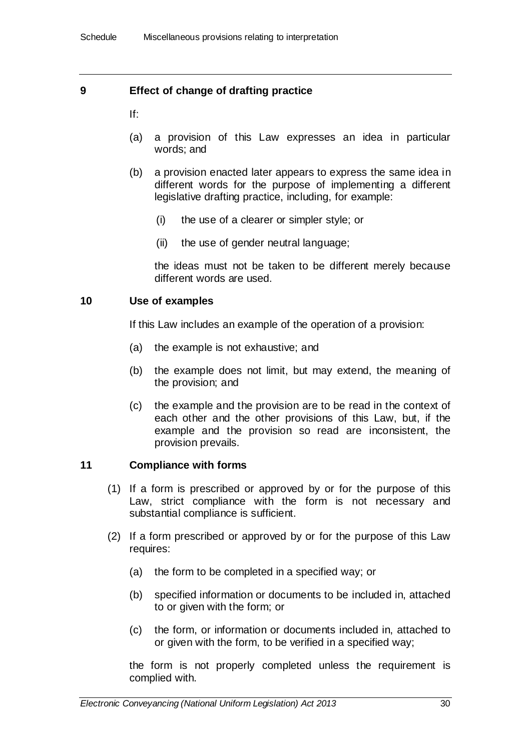## **9 Effect of change of drafting practice**

If:

- (a) a provision of this Law expresses an idea in particular words; and
- (b) a provision enacted later appears to express the same idea in different words for the purpose of implementing a different legislative drafting practice, including, for example:
	- (i) the use of a clearer or simpler style; or
	- (ii) the use of gender neutral language;

the ideas must not be taken to be different merely because different words are used.

### **10 Use of examples**

If this Law includes an example of the operation of a provision:

- (a) the example is not exhaustive; and
- (b) the example does not limit, but may extend, the meaning of the provision; and
- (c) the example and the provision are to be read in the context of each other and the other provisions of this Law, but, if the example and the provision so read are inconsistent, the provision prevails.

### **11 Compliance with forms**

- (1) If a form is prescribed or approved by or for the purpose of this Law, strict compliance with the form is not necessary and substantial compliance is sufficient.
- (2) If a form prescribed or approved by or for the purpose of this Law requires:
	- (a) the form to be completed in a specified way; or
	- (b) specified information or documents to be included in, attached to or given with the form; or
	- (c) the form, or information or documents included in, attached to or given with the form, to be verified in a specified way;

the form is not properly completed unless the requirement is complied with.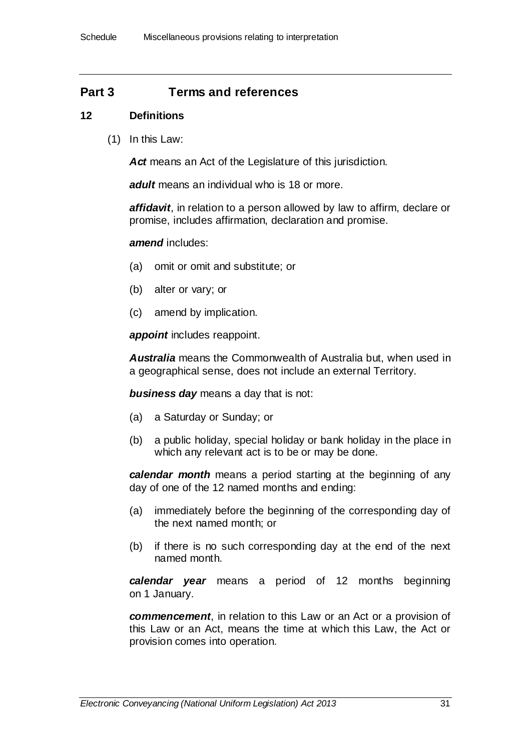# **Part 3 Terms and references**

### **12 Definitions**

(1) In this Law:

*Act* means an Act of the Legislature of this jurisdiction.

*adult* means an individual who is 18 or more.

*affidavit*, in relation to a person allowed by law to affirm, declare or promise, includes affirmation, declaration and promise.

#### *amend* includes:

- (a) omit or omit and substitute; or
- (b) alter or vary; or
- (c) amend by implication.

*appoint* includes reappoint.

*Australia* means the Commonwealth of Australia but, when used in a geographical sense, does not include an external Territory.

*business day* means a day that is not:

- (a) a Saturday or Sunday; or
- (b) a public holiday, special holiday or bank holiday in the place in which any relevant act is to be or may be done.

*calendar month* means a period starting at the beginning of any day of one of the 12 named months and ending:

- (a) immediately before the beginning of the corresponding day of the next named month; or
- (b) if there is no such corresponding day at the end of the next named month.

*calendar year* means a period of 12 months beginning on 1 January.

*commencement*, in relation to this Law or an Act or a provision of this Law or an Act, means the time at which this Law, the Act or provision comes into operation.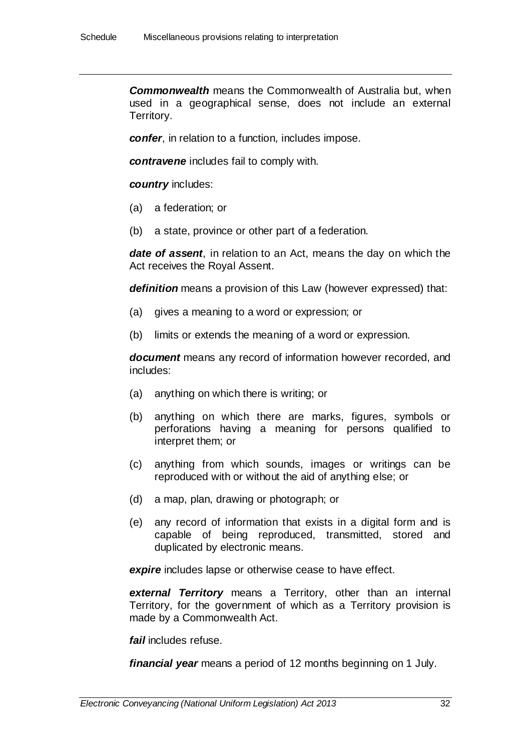*Commonwealth* means the Commonwealth of Australia but, when used in a geographical sense, does not include an external Territory.

*confer*, in relation to a function, includes impose.

*contravene* includes fail to comply with.

#### *country* includes:

- (a) a federation; or
- (b) a state, province or other part of a federation.

*date of assent*, in relation to an Act, means the day on which the Act receives the Royal Assent.

*definition* means a provision of this Law (however expressed) that:

- (a) gives a meaning to a word or expression; or
- (b) limits or extends the meaning of a word or expression.

*document* means any record of information however recorded, and includes:

- (a) anything on which there is writing; or
- (b) anything on which there are marks, figures, symbols or perforations having a meaning for persons qualified to interpret them; or
- (c) anything from which sounds, images or writings can be reproduced with or without the aid of anything else; or
- (d) a map, plan, drawing or photograph; or
- (e) any record of information that exists in a digital form and is capable of being reproduced, transmitted, stored and duplicated by electronic means.

**expire** includes lapse or otherwise cease to have effect.

*external Territory* means a Territory, other than an internal Territory, for the government of which as a Territory provision is made by a Commonwealth Act.

*fail* includes refuse.

*financial year* means a period of 12 months beginning on 1 July.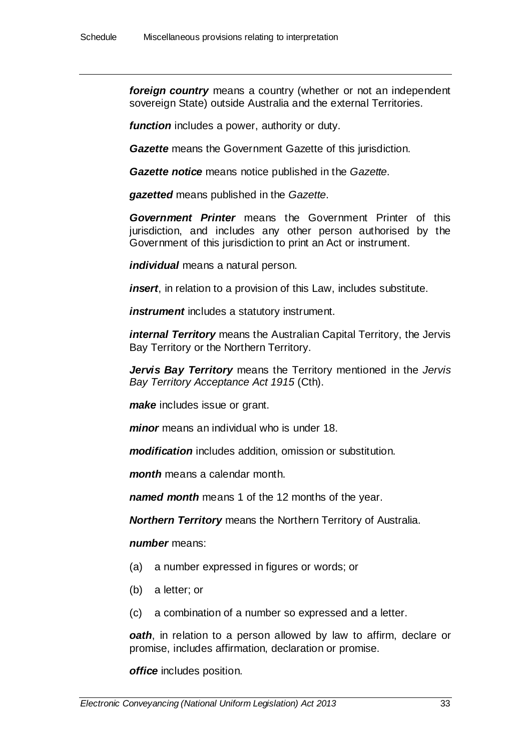*foreign country* means a country (whether or not an independent sovereign State) outside Australia and the external Territories.

*function* includes a power, authority or duty.

*Gazette* means the Government Gazette of this jurisdiction.

*Gazette notice* means notice published in the *Gazette*.

*gazetted* means published in the *Gazette*.

*Government Printer* means the Government Printer of this jurisdiction, and includes any other person authorised by the Government of this jurisdiction to print an Act or instrument.

*individual* means a natural person.

*insert*, in relation to a provision of this Law, includes substitute.

*instrument* includes a statutory instrument.

*internal Territory* means the Australian Capital Territory, the Jervis Bay Territory or the Northern Territory.

*Jervis Bay Territory* means the Territory mentioned in the *Jervis Bay Territory Acceptance Act 1915* (Cth).

*make* includes issue or grant.

*minor* means an individual who is under 18.

*modification* includes addition, omission or substitution.

*month* means a calendar month.

*named month* means 1 of the 12 months of the year.

*Northern Territory* means the Northern Territory of Australia.

*number* means:

- (a) a number expressed in figures or words; or
- (b) a letter; or
- (c) a combination of a number so expressed and a letter.

*oath*, in relation to a person allowed by law to affirm, declare or promise, includes affirmation, declaration or promise.

*office* includes position.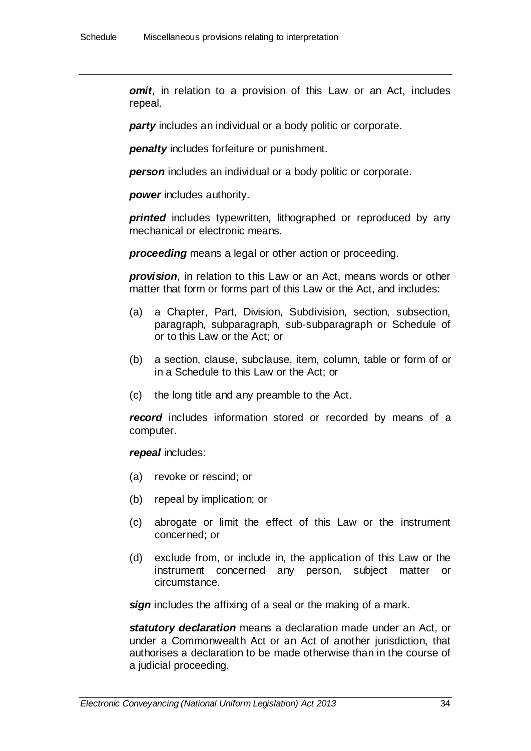*omit*, in relation to a provision of this Law or an Act, includes repeal.

*party* includes an individual or a body politic or corporate.

*penalty* includes forfeiture or punishment.

*person* includes an individual or a body politic or corporate.

*power* includes authority.

**printed** includes typewritten, lithographed or reproduced by any mechanical or electronic means.

*proceeding* means a legal or other action or proceeding.

*provision*, in relation to this Law or an Act, means words or other matter that form or forms part of this Law or the Act, and includes:

- (a) a Chapter, Part, Division, Subdivision, section, subsection, paragraph, subparagraph, sub-subparagraph or Schedule of or to this Law or the Act; or
- (b) a section, clause, subclause, item, column, table or form of or in a Schedule to this Law or the Act; or
- (c) the long title and any preamble to the Act.

**record** includes information stored or recorded by means of a computer.

*repeal* includes:

- (a) revoke or rescind; or
- (b) repeal by implication; or
- (c) abrogate or limit the effect of this Law or the instrument concerned; or
- (d) exclude from, or include in, the application of this Law or the instrument concerned any person, subject matter or circumstance.

*sign* includes the affixing of a seal or the making of a mark.

*statutory declaration* means a declaration made under an Act, or under a Commonwealth Act or an Act of another jurisdiction, that authorises a declaration to be made otherwise than in the course of a judicial proceeding.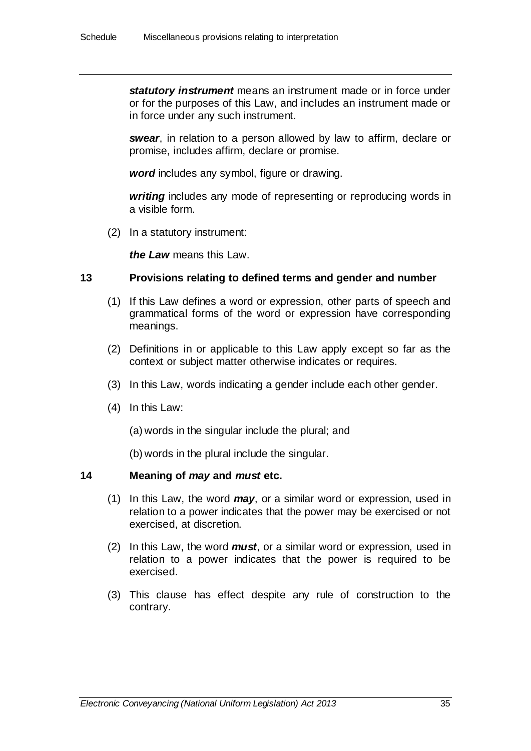*statutory instrument* means an instrument made or in force under or for the purposes of this Law, and includes an instrument made or in force under any such instrument.

*swear*, in relation to a person allowed by law to affirm, declare or promise, includes affirm, declare or promise.

*word* includes any symbol, figure or drawing.

*writing* includes any mode of representing or reproducing words in a visible form.

(2) In a statutory instrument:

*the Law* means this Law.

#### **13 Provisions relating to defined terms and gender and number**

- (1) If this Law defines a word or expression, other parts of speech and grammatical forms of the word or expression have corresponding meanings.
- (2) Definitions in or applicable to this Law apply except so far as the context or subject matter otherwise indicates or requires.
- (3) In this Law, words indicating a gender include each other gender.
- (4) In this Law:

(a) words in the singular include the plural; and

(b) words in the plural include the singular.

#### **14 Meaning of** *may* **and** *must* **etc.**

- (1) In this Law, the word *may*, or a similar word or expression, used in relation to a power indicates that the power may be exercised or not exercised, at discretion.
- (2) In this Law, the word *must*, or a similar word or expression, used in relation to a power indicates that the power is required to be exercised.
- (3) This clause has effect despite any rule of construction to the contrary.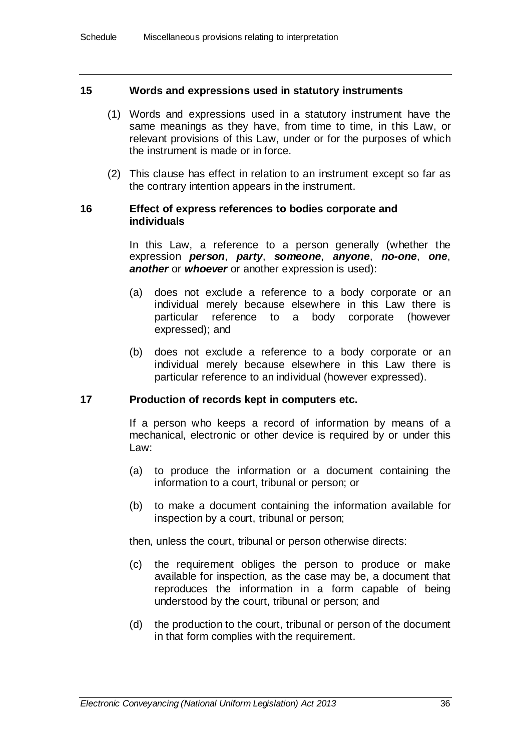### **15 Words and expressions used in statutory instruments**

- (1) Words and expressions used in a statutory instrument have the same meanings as they have, from time to time, in this Law, or relevant provisions of this Law, under or for the purposes of which the instrument is made or in force.
- (2) This clause has effect in relation to an instrument except so far as the contrary intention appears in the instrument.

#### **16 Effect of express references to bodies corporate and individuals**

In this Law, a reference to a person generally (whether the expression *person*, *party*, *someone*, *anyone*, *no-one*, *one*, *another* or *whoever* or another expression is used):

- (a) does not exclude a reference to a body corporate or an individual merely because elsewhere in this Law there is particular reference to a body corporate (however expressed); and
- (b) does not exclude a reference to a body corporate or an individual merely because elsewhere in this Law there is particular reference to an individual (however expressed).

#### **17 Production of records kept in computers etc.**

If a person who keeps a record of information by means of a mechanical, electronic or other device is required by or under this Law:

- (a) to produce the information or a document containing the information to a court, tribunal or person; or
- (b) to make a document containing the information available for inspection by a court, tribunal or person;

then, unless the court, tribunal or person otherwise directs:

- (c) the requirement obliges the person to produce or make available for inspection, as the case may be, a document that reproduces the information in a form capable of being understood by the court, tribunal or person; and
- (d) the production to the court, tribunal or person of the document in that form complies with the requirement.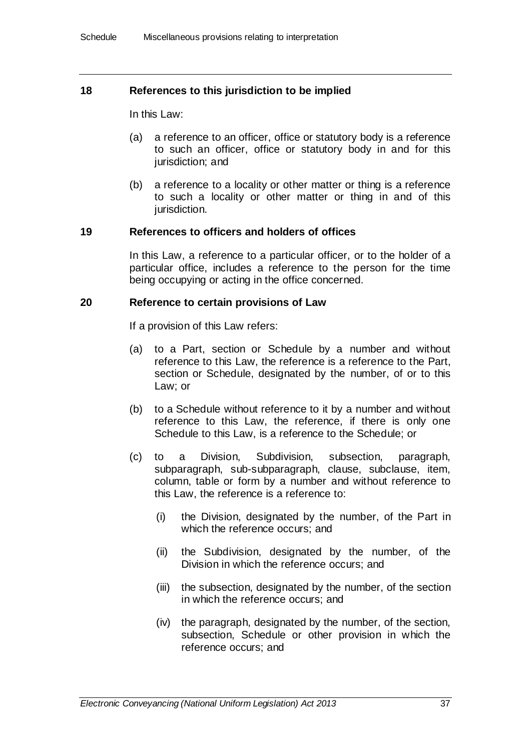### **18 References to this jurisdiction to be implied**

In this Law:

- (a) a reference to an officer, office or statutory body is a reference to such an officer, office or statutory body in and for this jurisdiction; and
- (b) a reference to a locality or other matter or thing is a reference to such a locality or other matter or thing in and of this jurisdiction.

### **19 References to officers and holders of offices**

In this Law, a reference to a particular officer, or to the holder of a particular office, includes a reference to the person for the time being occupying or acting in the office concerned.

#### **20 Reference to certain provisions of Law**

If a provision of this Law refers:

- (a) to a Part, section or Schedule by a number and without reference to this Law, the reference is a reference to the Part, section or Schedule, designated by the number, of or to this Law; or
- (b) to a Schedule without reference to it by a number and without reference to this Law, the reference, if there is only one Schedule to this Law, is a reference to the Schedule; or
- (c) to a Division, Subdivision, subsection, paragraph, subparagraph, sub-subparagraph, clause, subclause, item, column, table or form by a number and without reference to this Law, the reference is a reference to:
	- (i) the Division, designated by the number, of the Part in which the reference occurs; and
	- (ii) the Subdivision, designated by the number, of the Division in which the reference occurs; and
	- (iii) the subsection, designated by the number, of the section in which the reference occurs; and
	- (iv) the paragraph, designated by the number, of the section, subsection, Schedule or other provision in which the reference occurs; and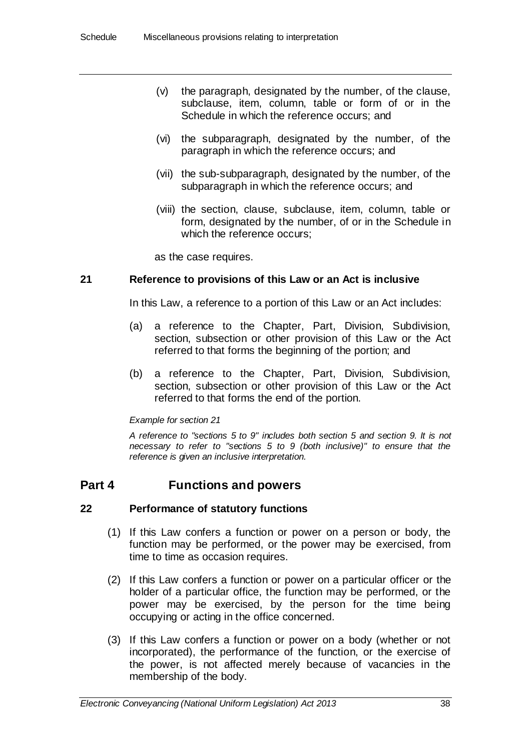- (v) the paragraph, designated by the number, of the clause, subclause, item, column, table or form of or in the Schedule in which the reference occurs; and
- (vi) the subparagraph, designated by the number, of the paragraph in which the reference occurs; and
- (vii) the sub-subparagraph, designated by the number, of the subparagraph in which the reference occurs; and
- (viii) the section, clause, subclause, item, column, table or form, designated by the number, of or in the Schedule in which the reference occurs:

as the case requires.

### **21 Reference to provisions of this Law or an Act is inclusive**

In this Law, a reference to a portion of this Law or an Act includes:

- (a) a reference to the Chapter, Part, Division, Subdivision, section, subsection or other provision of this Law or the Act referred to that forms the beginning of the portion; and
- (b) a reference to the Chapter, Part, Division, Subdivision, section, subsection or other provision of this Law or the Act referred to that forms the end of the portion.

#### *Example for section 21*

*A reference to "sections 5 to 9" includes both section 5 and section 9. It is not necessary to refer to "sections 5 to 9 (both inclusive)" to ensure that the reference is given an inclusive interpretation.*

# **Part 4 Functions and powers**

### **22 Performance of statutory functions**

- (1) If this Law confers a function or power on a person or body, the function may be performed, or the power may be exercised, from time to time as occasion requires.
- (2) If this Law confers a function or power on a particular officer or the holder of a particular office, the function may be performed, or the power may be exercised, by the person for the time being occupying or acting in the office concerned.
- (3) If this Law confers a function or power on a body (whether or not incorporated), the performance of the function, or the exercise of the power, is not affected merely because of vacancies in the membership of the body.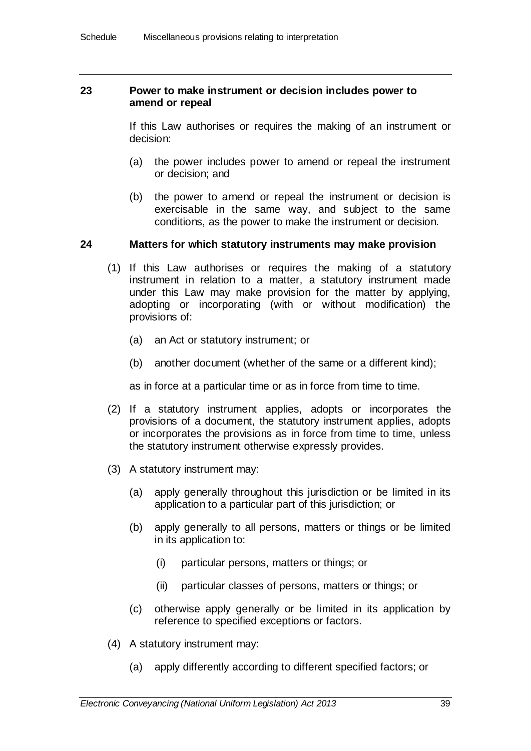#### **23 Power to make instrument or decision includes power to amend or repeal**

If this Law authorises or requires the making of an instrument or decision:

- (a) the power includes power to amend or repeal the instrument or decision; and
- (b) the power to amend or repeal the instrument or decision is exercisable in the same way, and subject to the same conditions, as the power to make the instrument or decision.

#### **24 Matters for which statutory instruments may make provision**

- (1) If this Law authorises or requires the making of a statutory instrument in relation to a matter, a statutory instrument made under this Law may make provision for the matter by applying, adopting or incorporating (with or without modification) the provisions of:
	- (a) an Act or statutory instrument; or
	- (b) another document (whether of the same or a different kind);

as in force at a particular time or as in force from time to time.

- (2) If a statutory instrument applies, adopts or incorporates the provisions of a document, the statutory instrument applies, adopts or incorporates the provisions as in force from time to time, unless the statutory instrument otherwise expressly provides.
- (3) A statutory instrument may:
	- (a) apply generally throughout this jurisdiction or be limited in its application to a particular part of this jurisdiction; or
	- (b) apply generally to all persons, matters or things or be limited in its application to:
		- (i) particular persons, matters or things; or
		- (ii) particular classes of persons, matters or things; or
	- (c) otherwise apply generally or be limited in its application by reference to specified exceptions or factors.
- (4) A statutory instrument may:
	- (a) apply differently according to different specified factors; or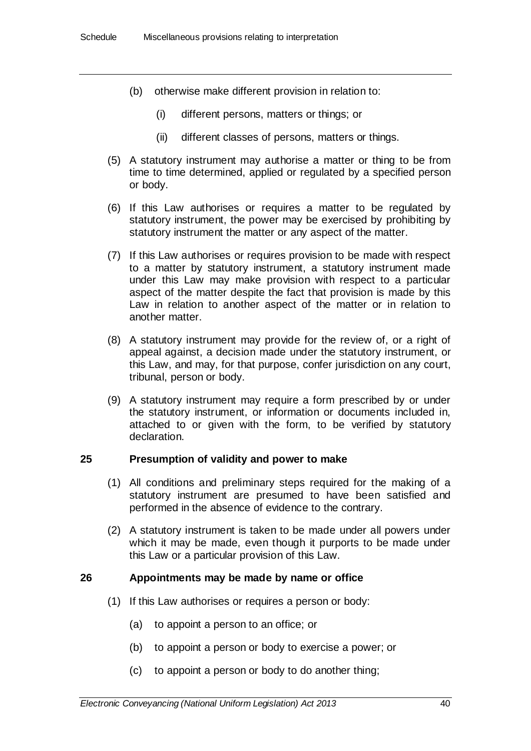- (b) otherwise make different provision in relation to:
	- (i) different persons, matters or things; or
	- (ii) different classes of persons, matters or things.
- (5) A statutory instrument may authorise a matter or thing to be from time to time determined, applied or regulated by a specified person or body.
- (6) If this Law authorises or requires a matter to be regulated by statutory instrument, the power may be exercised by prohibiting by statutory instrument the matter or any aspect of the matter.
- (7) If this Law authorises or requires provision to be made with respect to a matter by statutory instrument, a statutory instrument made under this Law may make provision with respect to a particular aspect of the matter despite the fact that provision is made by this Law in relation to another aspect of the matter or in relation to another matter.
- (8) A statutory instrument may provide for the review of, or a right of appeal against, a decision made under the statutory instrument, or this Law, and may, for that purpose, confer jurisdiction on any court, tribunal, person or body.
- (9) A statutory instrument may require a form prescribed by or under the statutory instrument, or information or documents included in, attached to or given with the form, to be verified by statutory declaration.

#### **25 Presumption of validity and power to make**

- (1) All conditions and preliminary steps required for the making of a statutory instrument are presumed to have been satisfied and performed in the absence of evidence to the contrary.
- (2) A statutory instrument is taken to be made under all powers under which it may be made, even though it purports to be made under this Law or a particular provision of this Law.

#### **26 Appointments may be made by name or office**

- (1) If this Law authorises or requires a person or body:
	- (a) to appoint a person to an office; or
	- (b) to appoint a person or body to exercise a power; or
	- (c) to appoint a person or body to do another thing;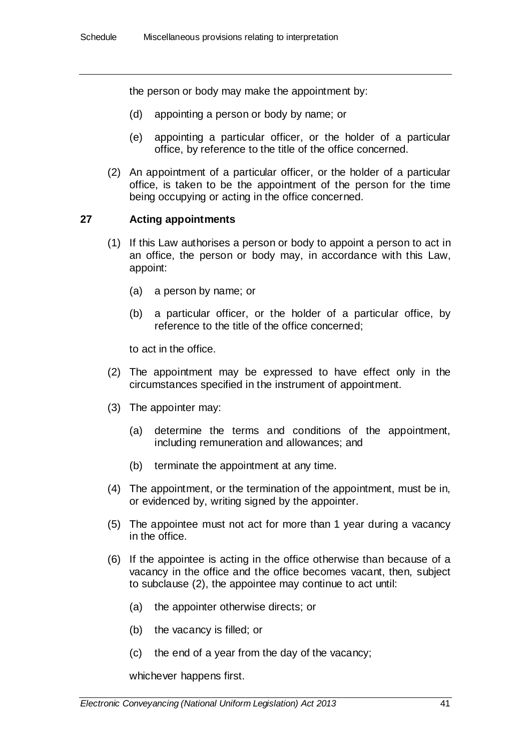the person or body may make the appointment by:

- (d) appointing a person or body by name; or
- (e) appointing a particular officer, or the holder of a particular office, by reference to the title of the office concerned.
- (2) An appointment of a particular officer, or the holder of a particular office, is taken to be the appointment of the person for the time being occupying or acting in the office concerned.

### **27 Acting appointments**

- (1) If this Law authorises a person or body to appoint a person to act in an office, the person or body may, in accordance with this Law, appoint:
	- (a) a person by name; or
	- (b) a particular officer, or the holder of a particular office, by reference to the title of the office concerned;

to act in the office.

- (2) The appointment may be expressed to have effect only in the circumstances specified in the instrument of appointment.
- (3) The appointer may:
	- (a) determine the terms and conditions of the appointment, including remuneration and allowances; and
	- (b) terminate the appointment at any time.
- (4) The appointment, or the termination of the appointment, must be in, or evidenced by, writing signed by the appointer.
- (5) The appointee must not act for more than 1 year during a vacancy in the office.
- (6) If the appointee is acting in the office otherwise than because of a vacancy in the office and the office becomes vacant, then, subject to subclause (2), the appointee may continue to act until:
	- (a) the appointer otherwise directs; or
	- (b) the vacancy is filled; or
	- (c) the end of a year from the day of the vacancy;

whichever happens first.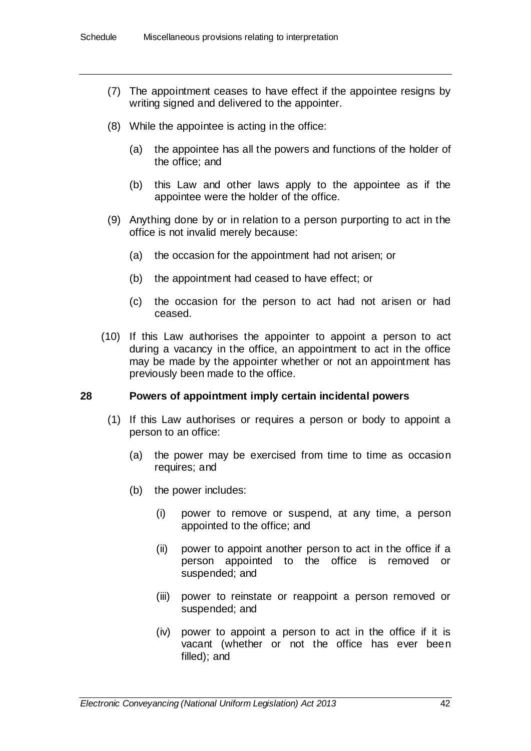- (7) The appointment ceases to have effect if the appointee resigns by writing signed and delivered to the appointer.
- (8) While the appointee is acting in the office:
	- (a) the appointee has all the powers and functions of the holder of the office; and
	- (b) this Law and other laws apply to the appointee as if the appointee were the holder of the office.
- (9) Anything done by or in relation to a person purporting to act in the office is not invalid merely because:
	- (a) the occasion for the appointment had not arisen; or
	- (b) the appointment had ceased to have effect; or
	- (c) the occasion for the person to act had not arisen or had ceased.
- (10) If this Law authorises the appointer to appoint a person to act during a vacancy in the office, an appointment to act in the office may be made by the appointer whether or not an appointment has previously been made to the office.

#### **28 Powers of appointment imply certain incidental powers**

- (1) If this Law authorises or requires a person or body to appoint a person to an office:
	- (a) the power may be exercised from time to time as occasion requires; and
	- (b) the power includes:
		- (i) power to remove or suspend, at any time, a person appointed to the office; and
		- (ii) power to appoint another person to act in the office if a person appointed to the office is removed or suspended; and
		- (iii) power to reinstate or reappoint a person removed or suspended; and
		- (iv) power to appoint a person to act in the office if it is vacant (whether or not the office has ever been filled); and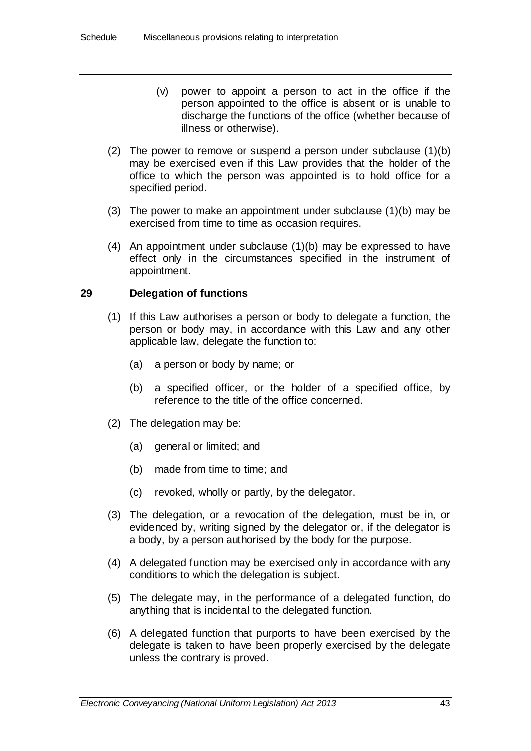- (v) power to appoint a person to act in the office if the person appointed to the office is absent or is unable to discharge the functions of the office (whether because of illness or otherwise).
- (2) The power to remove or suspend a person under subclause  $(1)(b)$ may be exercised even if this Law provides that the holder of the office to which the person was appointed is to hold office for a specified period.
- (3) The power to make an appointment under subclause (1)(b) may be exercised from time to time as occasion requires.
- (4) An appointment under subclause (1)(b) may be expressed to have effect only in the circumstances specified in the instrument of appointment.

## **29 Delegation of functions**

- (1) If this Law authorises a person or body to delegate a function, the person or body may, in accordance with this Law and any other applicable law, delegate the function to:
	- (a) a person or body by name; or
	- (b) a specified officer, or the holder of a specified office, by reference to the title of the office concerned.
- (2) The delegation may be:
	- (a) general or limited; and
	- (b) made from time to time; and
	- (c) revoked, wholly or partly, by the delegator.
- (3) The delegation, or a revocation of the delegation, must be in, or evidenced by, writing signed by the delegator or, if the delegator is a body, by a person authorised by the body for the purpose.
- (4) A delegated function may be exercised only in accordance with any conditions to which the delegation is subject.
- (5) The delegate may, in the performance of a delegated function, do anything that is incidental to the delegated function.
- (6) A delegated function that purports to have been exercised by the delegate is taken to have been properly exercised by the delegate unless the contrary is proved.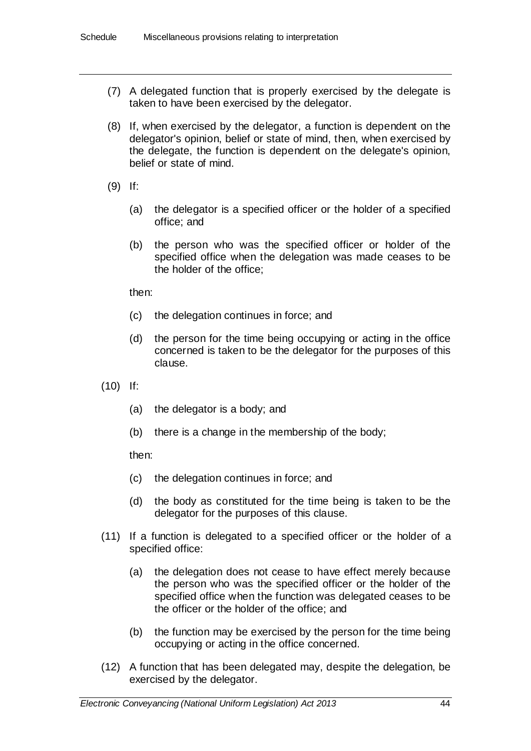- (7) A delegated function that is properly exercised by the delegate is taken to have been exercised by the delegator.
- (8) If, when exercised by the delegator, a function is dependent on the delegator's opinion, belief or state of mind, then, when exercised by the delegate, the function is dependent on the delegate's opinion, belief or state of mind.
- (9) If:
	- (a) the delegator is a specified officer or the holder of a specified office; and
	- (b) the person who was the specified officer or holder of the specified office when the delegation was made ceases to be the holder of the office;

then:

- (c) the delegation continues in force; and
- (d) the person for the time being occupying or acting in the office concerned is taken to be the delegator for the purposes of this clause.
- (10) If:
	- (a) the delegator is a body; and
	- (b) there is a change in the membership of the body;

then:

- (c) the delegation continues in force; and
- (d) the body as constituted for the time being is taken to be the delegator for the purposes of this clause.
- (11) If a function is delegated to a specified officer or the holder of a specified office:
	- (a) the delegation does not cease to have effect merely because the person who was the specified officer or the holder of the specified office when the function was delegated ceases to be the officer or the holder of the office; and
	- (b) the function may be exercised by the person for the time being occupying or acting in the office concerned.
- (12) A function that has been delegated may, despite the delegation, be exercised by the delegator.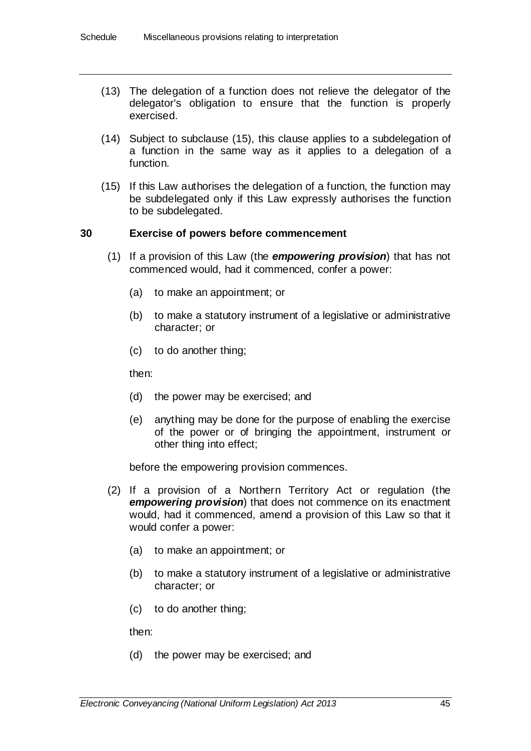- (13) The delegation of a function does not relieve the delegator of the delegator's obligation to ensure that the function is properly exercised.
- (14) Subject to subclause (15), this clause applies to a subdelegation of a function in the same way as it applies to a delegation of a function.
- (15) If this Law authorises the delegation of a function, the function may be subdelegated only if this Law expressly authorises the function to be subdelegated.

### **30 Exercise of powers before commencement**

- (1) If a provision of this Law (the *empowering provision*) that has not commenced would, had it commenced, confer a power:
	- (a) to make an appointment; or
	- (b) to make a statutory instrument of a legislative or administrative character; or
	- (c) to do another thing;

then:

- (d) the power may be exercised; and
- (e) anything may be done for the purpose of enabling the exercise of the power or of bringing the appointment, instrument or other thing into effect;

before the empowering provision commences.

- (2) If a provision of a Northern Territory Act or regulation (the *empowering provision*) that does not commence on its enactment would, had it commenced, amend a provision of this Law so that it would confer a power:
	- (a) to make an appointment; or
	- (b) to make a statutory instrument of a legislative or administrative character; or
	- (c) to do another thing;

then:

(d) the power may be exercised; and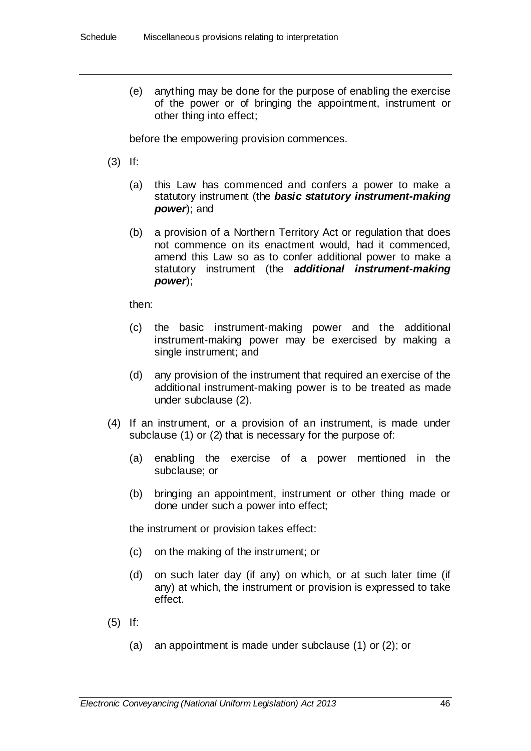(e) anything may be done for the purpose of enabling the exercise of the power or of bringing the appointment, instrument or other thing into effect;

before the empowering provision commences.

- (3) If:
	- (a) this Law has commenced and confers a power to make a statutory instrument (the *basic statutory instrument-making power*); and
	- (b) a provision of a Northern Territory Act or regulation that does not commence on its enactment would, had it commenced, amend this Law so as to confer additional power to make a statutory instrument (the *additional instrument-making power*);

then:

- (c) the basic instrument-making power and the additional instrument-making power may be exercised by making a single instrument; and
- (d) any provision of the instrument that required an exercise of the additional instrument-making power is to be treated as made under subclause (2).
- (4) If an instrument, or a provision of an instrument, is made under subclause (1) or (2) that is necessary for the purpose of:
	- (a) enabling the exercise of a power mentioned in the subclause; or
	- (b) bringing an appointment, instrument or other thing made or done under such a power into effect;

the instrument or provision takes effect:

- (c) on the making of the instrument; or
- (d) on such later day (if any) on which, or at such later time (if any) at which, the instrument or provision is expressed to take effect.
- (5) If:
	- (a) an appointment is made under subclause (1) or (2); or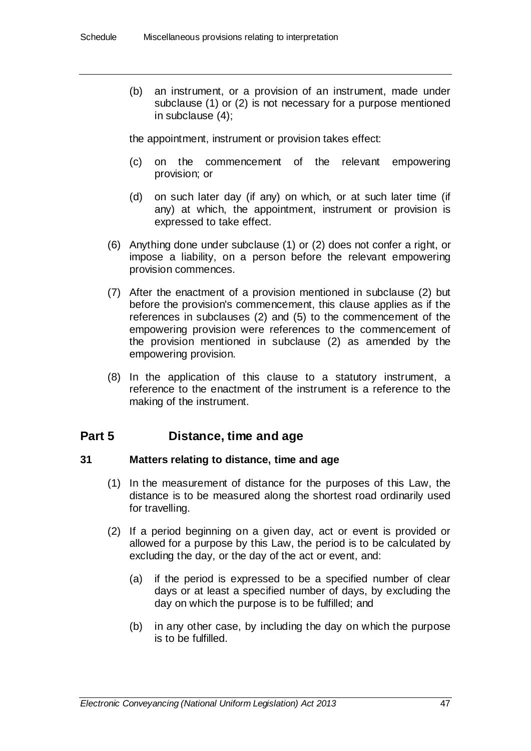(b) an instrument, or a provision of an instrument, made under subclause (1) or (2) is not necessary for a purpose mentioned in subclause (4);

the appointment, instrument or provision takes effect:

- (c) on the commencement of the relevant empowering provision; or
- (d) on such later day (if any) on which, or at such later time (if any) at which, the appointment, instrument or provision is expressed to take effect.
- (6) Anything done under subclause (1) or (2) does not confer a right, or impose a liability, on a person before the relevant empowering provision commences.
- (7) After the enactment of a provision mentioned in subclause (2) but before the provision's commencement, this clause applies as if the references in subclauses (2) and (5) to the commencement of the empowering provision were references to the commencement of the provision mentioned in subclause (2) as amended by the empowering provision.
- (8) In the application of this clause to a statutory instrument, a reference to the enactment of the instrument is a reference to the making of the instrument.

# **Part 5 Distance, time and age**

### **31 Matters relating to distance, time and age**

- (1) In the measurement of distance for the purposes of this Law, the distance is to be measured along the shortest road ordinarily used for travelling.
- (2) If a period beginning on a given day, act or event is provided or allowed for a purpose by this Law, the period is to be calculated by excluding the day, or the day of the act or event, and:
	- (a) if the period is expressed to be a specified number of clear days or at least a specified number of days, by excluding the day on which the purpose is to be fulfilled; and
	- (b) in any other case, by including the day on which the purpose is to be fulfilled.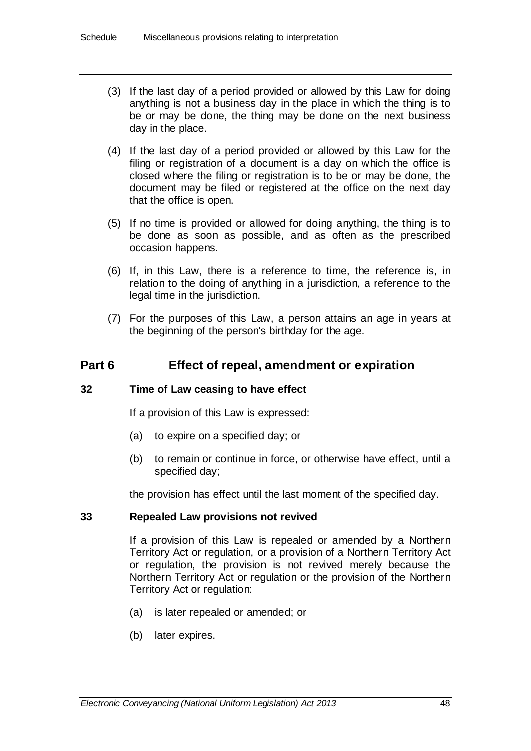- (3) If the last day of a period provided or allowed by this Law for doing anything is not a business day in the place in which the thing is to be or may be done, the thing may be done on the next business day in the place.
- (4) If the last day of a period provided or allowed by this Law for the filing or registration of a document is a day on which the office is closed where the filing or registration is to be or may be done, the document may be filed or registered at the office on the next day that the office is open.
- (5) If no time is provided or allowed for doing anything, the thing is to be done as soon as possible, and as often as the prescribed occasion happens.
- (6) If, in this Law, there is a reference to time, the reference is, in relation to the doing of anything in a jurisdiction, a reference to the legal time in the jurisdiction.
- (7) For the purposes of this Law, a person attains an age in years at the beginning of the person's birthday for the age.

# **Part 6 Effect of repeal, amendment or expiration**

### **32 Time of Law ceasing to have effect**

If a provision of this Law is expressed:

- (a) to expire on a specified day; or
- (b) to remain or continue in force, or otherwise have effect, until a specified day;

the provision has effect until the last moment of the specified day.

#### **33 Repealed Law provisions not revived**

If a provision of this Law is repealed or amended by a Northern Territory Act or regulation, or a provision of a Northern Territory Act or regulation, the provision is not revived merely because the Northern Territory Act or regulation or the provision of the Northern Territory Act or regulation:

- (a) is later repealed or amended; or
- (b) later expires.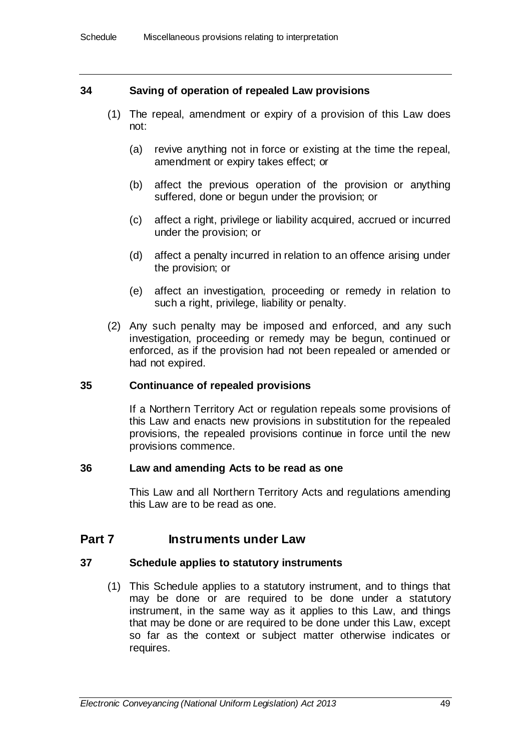### **34 Saving of operation of repealed Law provisions**

- (1) The repeal, amendment or expiry of a provision of this Law does not:
	- (a) revive anything not in force or existing at the time the repeal, amendment or expiry takes effect; or
	- (b) affect the previous operation of the provision or anything suffered, done or begun under the provision; or
	- (c) affect a right, privilege or liability acquired, accrued or incurred under the provision; or
	- (d) affect a penalty incurred in relation to an offence arising under the provision; or
	- (e) affect an investigation, proceeding or remedy in relation to such a right, privilege, liability or penalty.
- (2) Any such penalty may be imposed and enforced, and any such investigation, proceeding or remedy may be begun, continued or enforced, as if the provision had not been repealed or amended or had not expired.

### **35 Continuance of repealed provisions**

If a Northern Territory Act or regulation repeals some provisions of this Law and enacts new provisions in substitution for the repealed provisions, the repealed provisions continue in force until the new provisions commence.

#### **36 Law and amending Acts to be read as one**

This Law and all Northern Territory Acts and regulations amending this Law are to be read as one.

# **Part 7 Instruments under Law**

#### **37 Schedule applies to statutory instruments**

(1) This Schedule applies to a statutory instrument, and to things that may be done or are required to be done under a statutory instrument, in the same way as it applies to this Law, and things that may be done or are required to be done under this Law, except so far as the context or subject matter otherwise indicates or requires.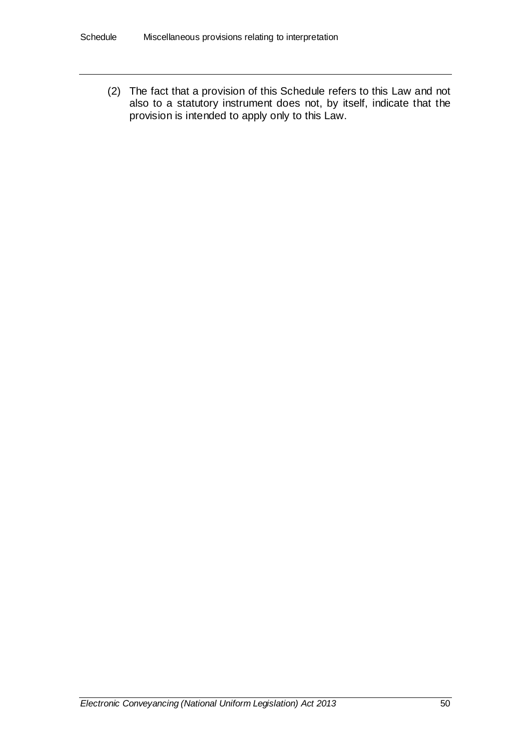(2) The fact that a provision of this Schedule refers to this Law and not also to a statutory instrument does not, by itself, indicate that the provision is intended to apply only to this Law.